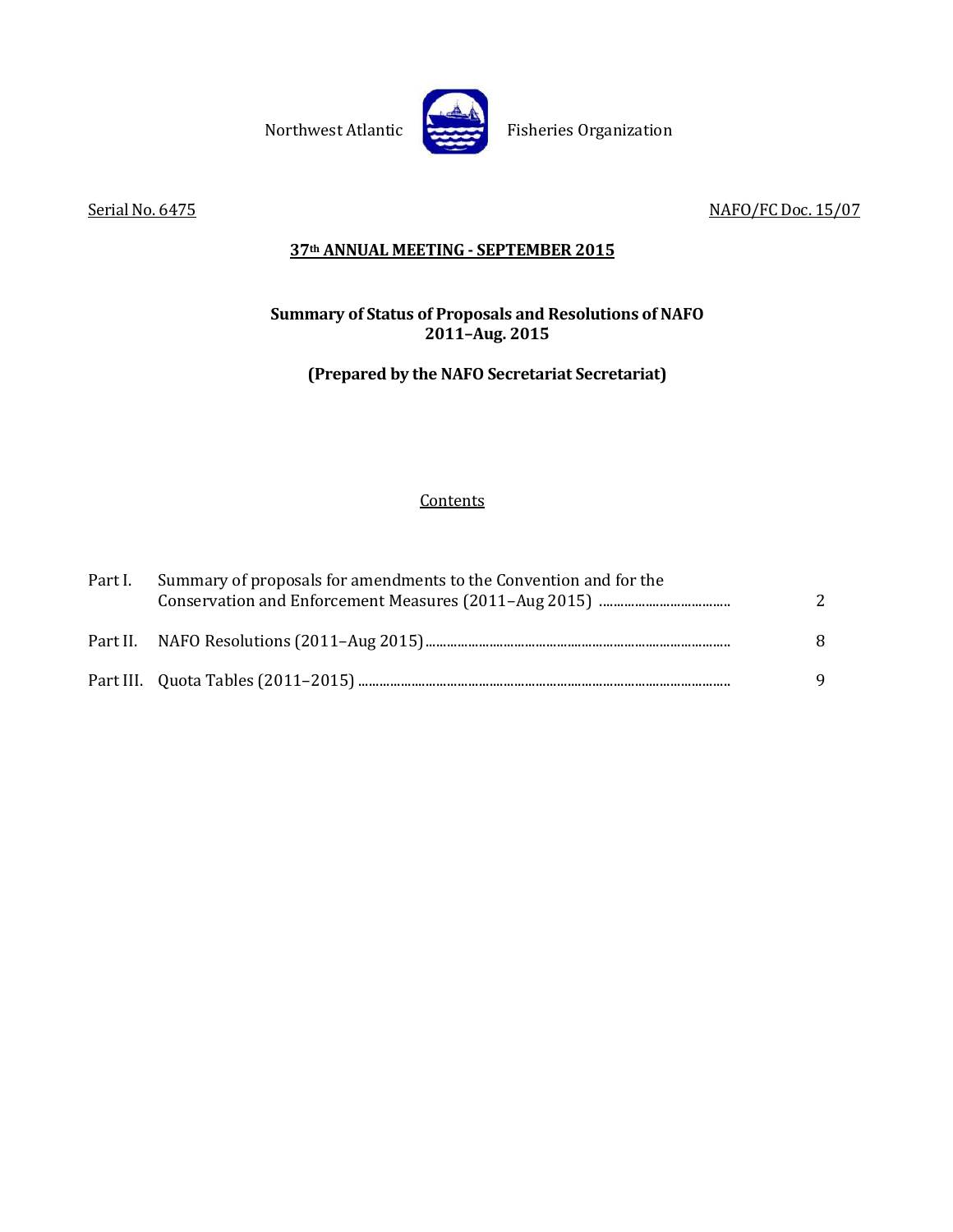

Northwest Atlantic Fisheries Organization

Serial No. 6475 NAFO/FC Doc. 15/07

# **37th ANNUAL MEETING - SEPTEMBER 2015**

# **Summary of Status of Proposals and Resolutions of NAFO 2011–Aug. 2015**

# **(Prepared by the NAFO Secretariat Secretariat)**

# **Contents**

| Part I. | Summary of proposals for amendments to the Convention and for the | 2 |
|---------|-------------------------------------------------------------------|---|
|         |                                                                   | 8 |
|         |                                                                   | 9 |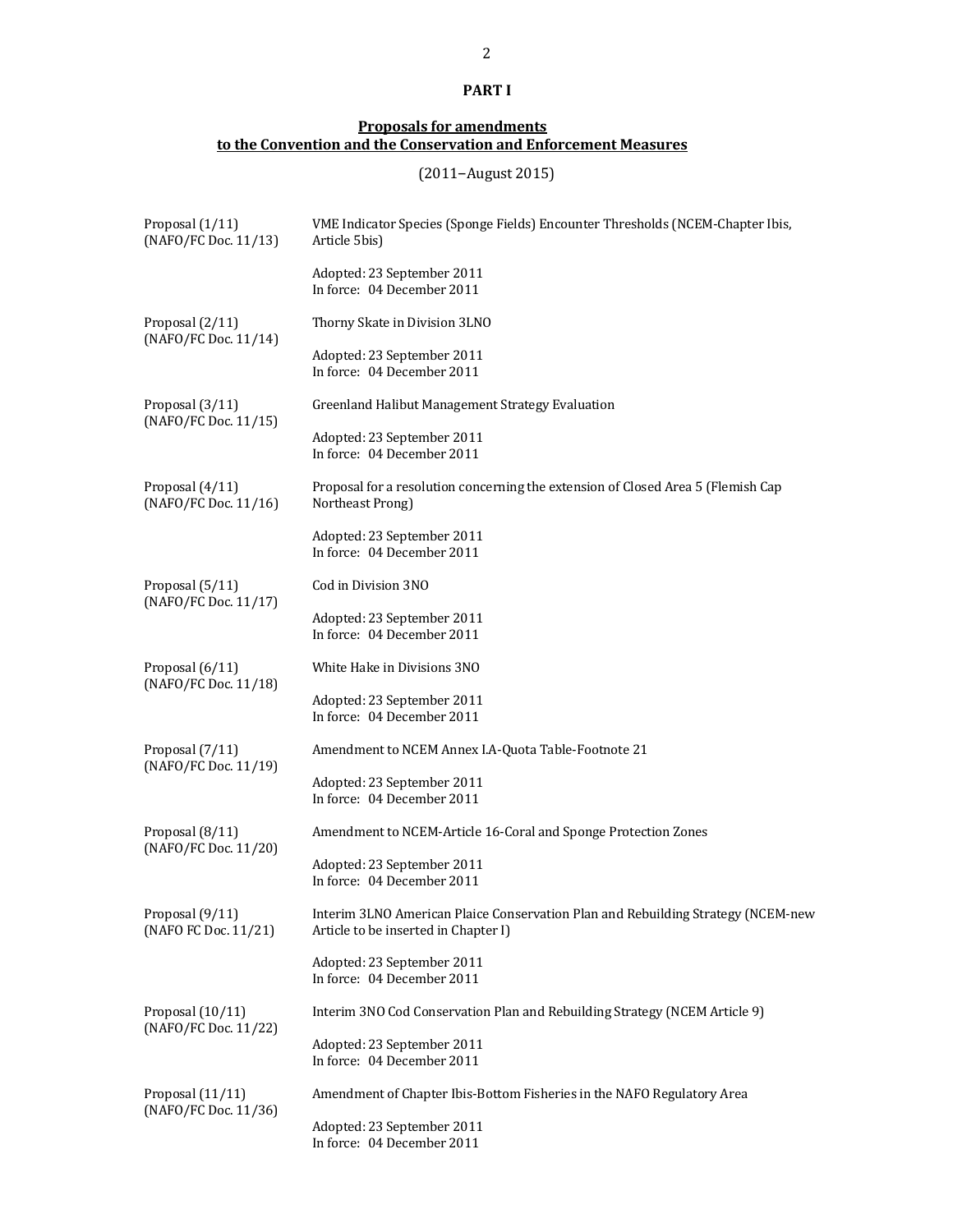# **PART I**

#### **Proposals for amendments to the Convention and the Conservation and Enforcement Measures**

(2011–August 2015)

| Proposal (1/11)<br>(NAFO/FC Doc. 11/13)    | VME Indicator Species (Sponge Fields) Encounter Thresholds (NCEM-Chapter Ibis,<br>Article 5bis)                          |
|--------------------------------------------|--------------------------------------------------------------------------------------------------------------------------|
|                                            | Adopted: 23 September 2011<br>In force: 04 December 2011                                                                 |
| Proposal (2/11)                            | Thorny Skate in Division 3LNO                                                                                            |
| (NAFO/FC Doc. 11/14)                       | Adopted: 23 September 2011<br>In force: 04 December 2011                                                                 |
| Proposal (3/11)<br>(NAFO/FC Doc. 11/15)    | Greenland Halibut Management Strategy Evaluation                                                                         |
|                                            | Adopted: 23 September 2011<br>In force: 04 December 2011                                                                 |
| Proposal (4/11)<br>(NAFO/FC Doc. 11/16)    | Proposal for a resolution concerning the extension of Closed Area 5 (Flemish Cap<br>Northeast Prong)                     |
|                                            | Adopted: 23 September 2011<br>In force: 04 December 2011                                                                 |
| Proposal (5/11)<br>(NAFO/FC Doc. 11/17)    | Cod in Division 3NO                                                                                                      |
|                                            | Adopted: 23 September 2011<br>In force: 04 December 2011                                                                 |
| Proposal (6/11)<br>(NAFO/FC Doc. 11/18)    | White Hake in Divisions 3NO                                                                                              |
|                                            | Adopted: 23 September 2011<br>In force: 04 December 2011                                                                 |
| Proposal (7/11)<br>(NAFO/FC Doc. 11/19)    | Amendment to NCEM Annex I.A-Quota Table-Footnote 21                                                                      |
|                                            | Adopted: 23 September 2011<br>In force: 04 December 2011                                                                 |
| Proposal (8/11)<br>(NAFO/FC Doc. 11/20)    | Amendment to NCEM-Article 16-Coral and Sponge Protection Zones                                                           |
|                                            | Adopted: 23 September 2011<br>In force: 04 December 2011                                                                 |
| Proposal (9/11)<br>(NAFO FC Doc. 11/21)    | Interim 3LNO American Plaice Conservation Plan and Rebuilding Strategy (NCEM-new<br>Article to be inserted in Chapter I) |
|                                            | Adopted: 23 September 2011<br>In force: 04 December 2011                                                                 |
| Proposal $(10/11)$<br>(NAFO/FC Doc. 11/22) | Interim 3NO Cod Conservation Plan and Rebuilding Strategy (NCEM Article 9)                                               |
|                                            | Adopted: 23 September 2011<br>In force: 04 December 2011                                                                 |
| Proposal (11/11)<br>(NAFO/FC Doc. 11/36)   | Amendment of Chapter Ibis-Bottom Fisheries in the NAFO Regulatory Area                                                   |
|                                            | Adopted: 23 September 2011<br>In force: 04 December 2011                                                                 |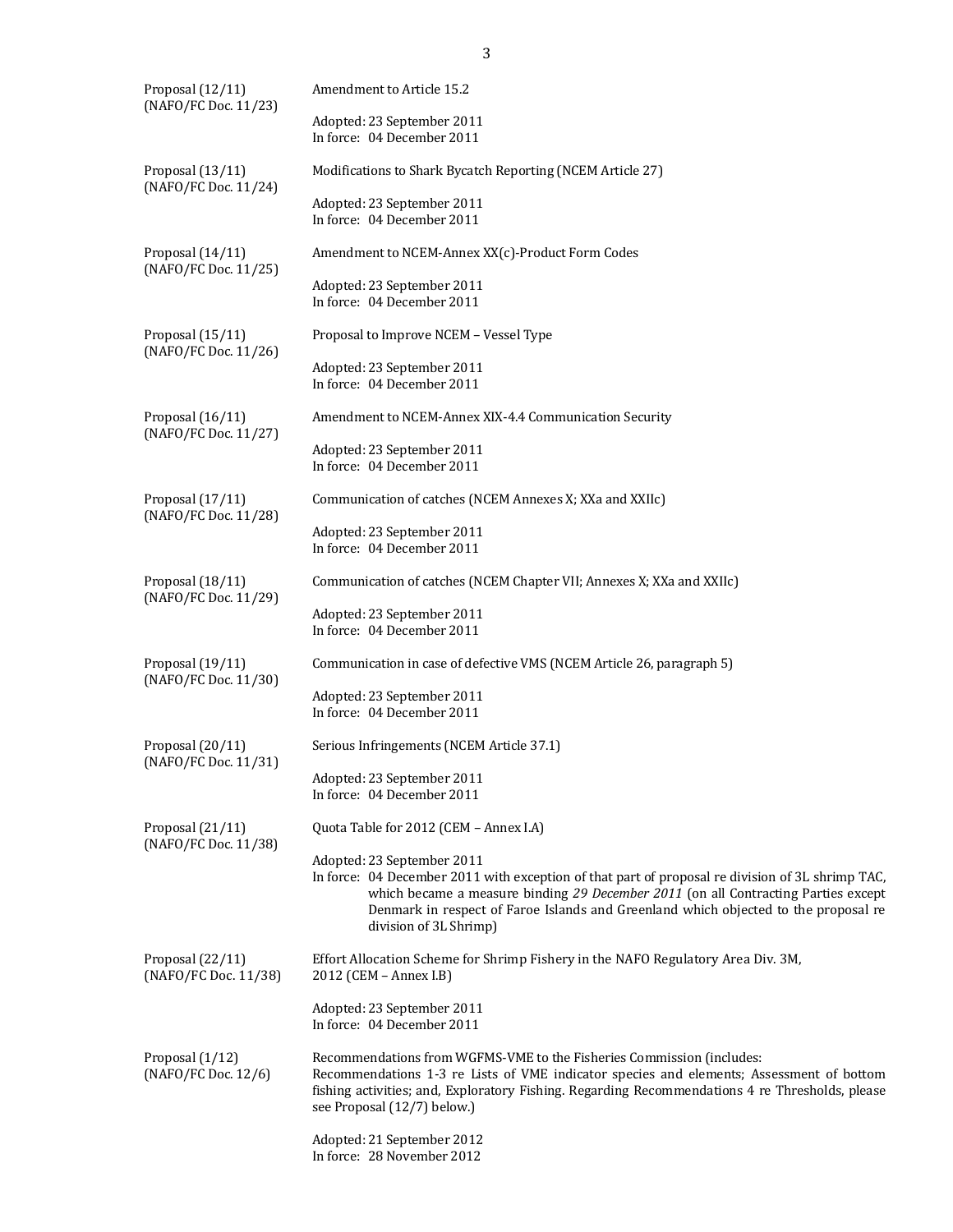| Proposal (12/11)<br>(NAFO/FC Doc. 11/23) | Amendment to Article 15.2                                                                                                                                                                                                                                                                                                             |  |  |  |  |  |  |  |  |
|------------------------------------------|---------------------------------------------------------------------------------------------------------------------------------------------------------------------------------------------------------------------------------------------------------------------------------------------------------------------------------------|--|--|--|--|--|--|--|--|
|                                          | Adopted: 23 September 2011<br>In force: 04 December 2011                                                                                                                                                                                                                                                                              |  |  |  |  |  |  |  |  |
| Proposal (13/11)<br>(NAFO/FC Doc. 11/24) | Modifications to Shark Bycatch Reporting (NCEM Article 27)                                                                                                                                                                                                                                                                            |  |  |  |  |  |  |  |  |
|                                          | Adopted: 23 September 2011<br>In force: 04 December 2011                                                                                                                                                                                                                                                                              |  |  |  |  |  |  |  |  |
| Proposal (14/11)<br>(NAFO/FC Doc. 11/25) | Amendment to NCEM-Annex XX(c)-Product Form Codes                                                                                                                                                                                                                                                                                      |  |  |  |  |  |  |  |  |
|                                          | Adopted: 23 September 2011<br>In force: 04 December 2011                                                                                                                                                                                                                                                                              |  |  |  |  |  |  |  |  |
| Proposal (15/11)<br>(NAFO/FC Doc. 11/26) | Proposal to Improve NCEM - Vessel Type                                                                                                                                                                                                                                                                                                |  |  |  |  |  |  |  |  |
|                                          | Adopted: 23 September 2011<br>In force: 04 December 2011                                                                                                                                                                                                                                                                              |  |  |  |  |  |  |  |  |
| Proposal (16/11)<br>(NAFO/FC Doc. 11/27) | Amendment to NCEM-Annex XIX-4.4 Communication Security                                                                                                                                                                                                                                                                                |  |  |  |  |  |  |  |  |
|                                          | Adopted: 23 September 2011<br>In force: 04 December 2011                                                                                                                                                                                                                                                                              |  |  |  |  |  |  |  |  |
| Proposal (17/11)<br>(NAFO/FC Doc. 11/28) | Communication of catches (NCEM Annexes X; XXa and XXIIc)                                                                                                                                                                                                                                                                              |  |  |  |  |  |  |  |  |
|                                          | Adopted: 23 September 2011<br>In force: 04 December 2011                                                                                                                                                                                                                                                                              |  |  |  |  |  |  |  |  |
| Proposal (18/11)<br>(NAFO/FC Doc. 11/29) | Communication of catches (NCEM Chapter VII; Annexes X; XXa and XXIIc)                                                                                                                                                                                                                                                                 |  |  |  |  |  |  |  |  |
|                                          | Adopted: 23 September 2011<br>In force: 04 December 2011                                                                                                                                                                                                                                                                              |  |  |  |  |  |  |  |  |
| Proposal (19/11)<br>(NAFO/FC Doc. 11/30) | Communication in case of defective VMS (NCEM Article 26, paragraph 5)                                                                                                                                                                                                                                                                 |  |  |  |  |  |  |  |  |
|                                          | Adopted: 23 September 2011<br>In force: 04 December 2011                                                                                                                                                                                                                                                                              |  |  |  |  |  |  |  |  |
| Proposal (20/11)<br>(NAFO/FC Doc. 11/31) | Serious Infringements (NCEM Article 37.1)                                                                                                                                                                                                                                                                                             |  |  |  |  |  |  |  |  |
|                                          | Adopted: 23 September 2011<br>In force: 04 December 2011                                                                                                                                                                                                                                                                              |  |  |  |  |  |  |  |  |
| Proposal (21/11)<br>(NAFO/FC Doc. 11/38) | Quota Table for 2012 (CEM - Annex I.A)                                                                                                                                                                                                                                                                                                |  |  |  |  |  |  |  |  |
|                                          | Adopted: 23 September 2011<br>In force: 04 December 2011 with exception of that part of proposal re division of 3L shrimp TAC,<br>which became a measure binding 29 December 2011 (on all Contracting Parties except<br>Denmark in respect of Faroe Islands and Greenland which objected to the proposal re<br>division of 3L Shrimp) |  |  |  |  |  |  |  |  |
| Proposal (22/11)<br>(NAFO/FC Doc. 11/38) | Effort Allocation Scheme for Shrimp Fishery in the NAFO Regulatory Area Div. 3M,<br>2012 (CEM - Annex I.B)                                                                                                                                                                                                                            |  |  |  |  |  |  |  |  |
|                                          | Adopted: 23 September 2011<br>In force: 04 December 2011                                                                                                                                                                                                                                                                              |  |  |  |  |  |  |  |  |
| Proposal (1/12)<br>(NAFO/FC Doc. 12/6)   | Recommendations from WGFMS-VME to the Fisheries Commission (includes:<br>Recommendations 1-3 re Lists of VME indicator species and elements; Assessment of bottom<br>fishing activities; and, Exploratory Fishing. Regarding Recommendations 4 re Thresholds, please<br>see Proposal (12/7) below.)                                   |  |  |  |  |  |  |  |  |
|                                          | Adopted: 21 September 2012                                                                                                                                                                                                                                                                                                            |  |  |  |  |  |  |  |  |

In force: 28 November 2012

3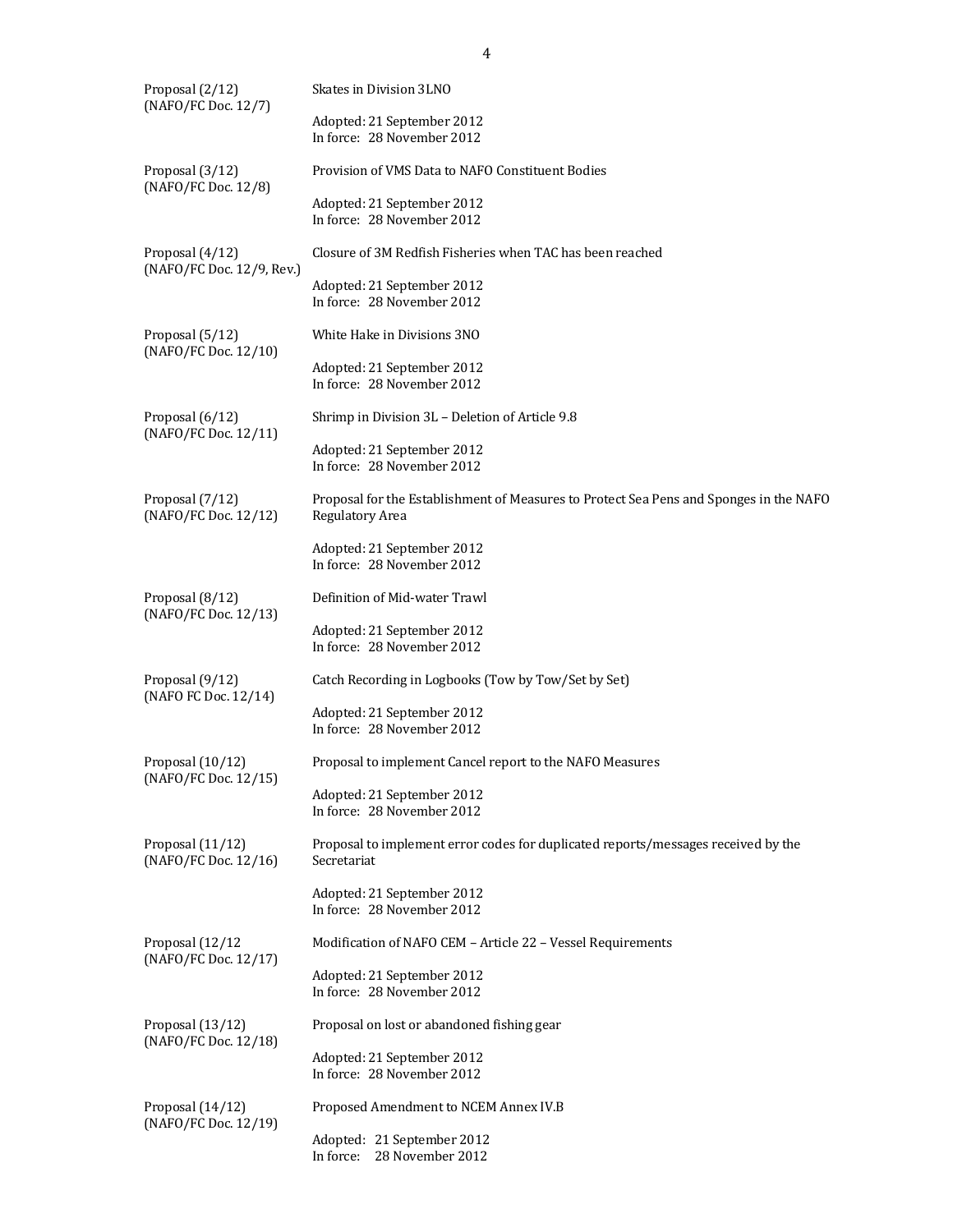| Proposal (2/12)<br>(NAFO/FC Doc. 12/7)   | Skates in Division 3LNO                                                                                   |
|------------------------------------------|-----------------------------------------------------------------------------------------------------------|
|                                          | Adopted: 21 September 2012<br>In force: 28 November 2012                                                  |
| Proposal (3/12)<br>(NAFO/FC Doc. 12/8)   | Provision of VMS Data to NAFO Constituent Bodies                                                          |
|                                          | Adopted: 21 September 2012<br>In force: 28 November 2012                                                  |
| Proposal (4/12)                          | Closure of 3M Redfish Fisheries when TAC has been reached                                                 |
| (NAFO/FC Doc. 12/9, Rev.)                | Adopted: 21 September 2012<br>In force: 28 November 2012                                                  |
| Proposal (5/12)                          | White Hake in Divisions 3NO                                                                               |
| (NAFO/FC Doc. 12/10)                     | Adopted: 21 September 2012<br>In force: 28 November 2012                                                  |
| Proposal (6/12)                          | Shrimp in Division 3L - Deletion of Article 9.8                                                           |
| (NAFO/FC Doc. 12/11)                     | Adopted: 21 September 2012<br>In force: 28 November 2012                                                  |
| Proposal (7/12)<br>(NAFO/FC Doc. 12/12)  | Proposal for the Establishment of Measures to Protect Sea Pens and Sponges in the NAFO<br>Regulatory Area |
|                                          | Adopted: 21 September 2012<br>In force: 28 November 2012                                                  |
| Proposal (8/12)                          | Definition of Mid-water Trawl                                                                             |
| (NAFO/FC Doc. 12/13)                     | Adopted: 21 September 2012<br>In force: 28 November 2012                                                  |
| Proposal (9/12)                          | Catch Recording in Logbooks (Tow by Tow/Set by Set)                                                       |
| (NAFO FC Doc. 12/14)                     | Adopted: 21 September 2012<br>In force: 28 November 2012                                                  |
| Proposal (10/12)<br>(NAFO/FC Doc. 12/15) | Proposal to implement Cancel report to the NAFO Measures                                                  |
|                                          | Adopted: 21 September 2012<br>In force: 28 November 2012                                                  |
| Proposal (11/12)<br>(NAFO/FC Doc. 12/16) | Proposal to implement error codes for duplicated reports/messages received by the<br>Secretariat          |
|                                          | Adopted: 21 September 2012<br>In force: 28 November 2012                                                  |
| Proposal (12/12                          | Modification of NAFO CEM - Article 22 - Vessel Requirements                                               |
| (NAFO/FC Doc. 12/17)                     | Adopted: 21 September 2012<br>In force: 28 November 2012                                                  |
| Proposal (13/12)                         | Proposal on lost or abandoned fishing gear                                                                |
| (NAFO/FC Doc. 12/18)                     | Adopted: 21 September 2012<br>In force: 28 November 2012                                                  |
| Proposal (14/12)                         | Proposed Amendment to NCEM Annex IV.B                                                                     |
| (NAFO/FC Doc. 12/19)                     | Adopted: 21 September 2012<br>28 November 2012<br>In force:                                               |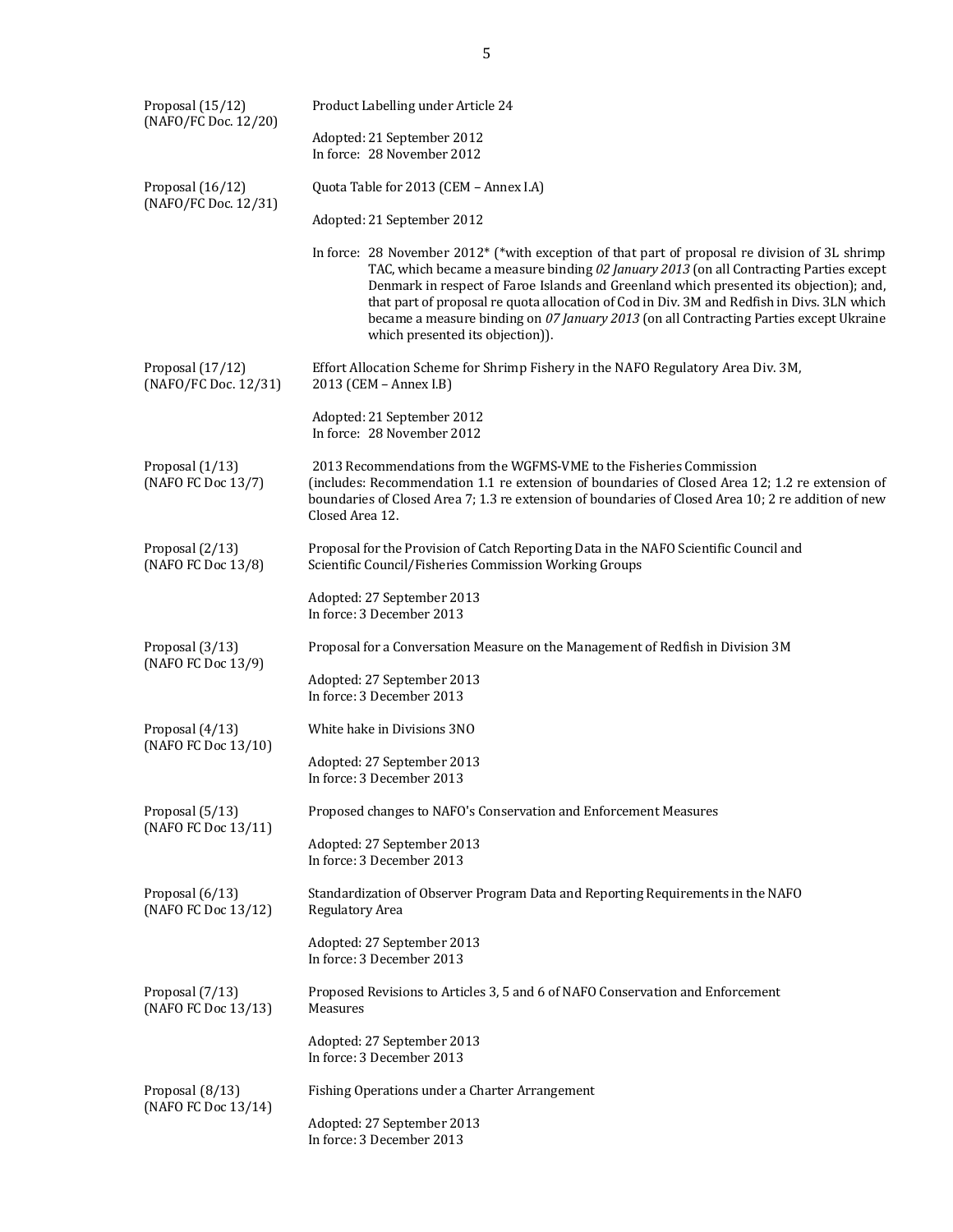| Proposal (15/12)<br>(NAFO/FC Doc. 12/20) | Product Labelling under Article 24                                                                                                                                                                                                                                                                                                                                                                                                                                                                             |
|------------------------------------------|----------------------------------------------------------------------------------------------------------------------------------------------------------------------------------------------------------------------------------------------------------------------------------------------------------------------------------------------------------------------------------------------------------------------------------------------------------------------------------------------------------------|
|                                          | Adopted: 21 September 2012<br>In force: 28 November 2012                                                                                                                                                                                                                                                                                                                                                                                                                                                       |
| Proposal (16/12)<br>(NAFO/FC Doc. 12/31) | Quota Table for 2013 (CEM - Annex I.A)                                                                                                                                                                                                                                                                                                                                                                                                                                                                         |
|                                          | Adopted: 21 September 2012                                                                                                                                                                                                                                                                                                                                                                                                                                                                                     |
|                                          | In force: 28 November 2012* (*with exception of that part of proposal re division of 3L shrimp<br>TAC, which became a measure binding 02 January 2013 (on all Contracting Parties except<br>Denmark in respect of Faroe Islands and Greenland which presented its objection); and,<br>that part of proposal re quota allocation of Cod in Div. 3M and Redfish in Divs. 3LN which<br>became a measure binding on 07 January 2013 (on all Contracting Parties except Ukraine<br>which presented its objection)). |
| Proposal (17/12)<br>(NAFO/FC Doc. 12/31) | Effort Allocation Scheme for Shrimp Fishery in the NAFO Regulatory Area Div. 3M,<br>2013 (CEM - Annex I.B)                                                                                                                                                                                                                                                                                                                                                                                                     |
|                                          | Adopted: 21 September 2012<br>In force: 28 November 2012                                                                                                                                                                                                                                                                                                                                                                                                                                                       |
| Proposal (1/13)<br>(NAFO FC Doc 13/7)    | 2013 Recommendations from the WGFMS-VME to the Fisheries Commission<br>(includes: Recommendation 1.1 re extension of boundaries of Closed Area 12; 1.2 re extension of<br>boundaries of Closed Area 7; 1.3 re extension of boundaries of Closed Area 10; 2 re addition of new<br>Closed Area 12.                                                                                                                                                                                                               |
| Proposal (2/13)<br>(NAFO FC Doc 13/8)    | Proposal for the Provision of Catch Reporting Data in the NAFO Scientific Council and<br>Scientific Council/Fisheries Commission Working Groups                                                                                                                                                                                                                                                                                                                                                                |
|                                          | Adopted: 27 September 2013<br>In force: 3 December 2013                                                                                                                                                                                                                                                                                                                                                                                                                                                        |
| Proposal (3/13)<br>(NAFO FC Doc 13/9)    | Proposal for a Conversation Measure on the Management of Redfish in Division 3M                                                                                                                                                                                                                                                                                                                                                                                                                                |
|                                          | Adopted: 27 September 2013<br>In force: 3 December 2013                                                                                                                                                                                                                                                                                                                                                                                                                                                        |
| Proposal (4/13)<br>(NAFO FC Doc 13/10)   | White hake in Divisions 3NO                                                                                                                                                                                                                                                                                                                                                                                                                                                                                    |
|                                          | Adopted: 27 September 2013<br>In force: 3 December 2013                                                                                                                                                                                                                                                                                                                                                                                                                                                        |
| Proposal (5/13)<br>(NAFO FC Doc 13/11)   | Proposed changes to NAFO's Conservation and Enforcement Measures                                                                                                                                                                                                                                                                                                                                                                                                                                               |
|                                          | Adopted: 27 September 2013<br>In force: 3 December 2013                                                                                                                                                                                                                                                                                                                                                                                                                                                        |
| Proposal (6/13)<br>(NAFO FC Doc 13/12)   | Standardization of Observer Program Data and Reporting Requirements in the NAFO<br>Regulatory Area                                                                                                                                                                                                                                                                                                                                                                                                             |
|                                          | Adopted: 27 September 2013<br>In force: 3 December 2013                                                                                                                                                                                                                                                                                                                                                                                                                                                        |
| Proposal (7/13)<br>(NAFO FC Doc 13/13)   | Proposed Revisions to Articles 3, 5 and 6 of NAFO Conservation and Enforcement<br>Measures                                                                                                                                                                                                                                                                                                                                                                                                                     |
|                                          | Adopted: 27 September 2013<br>In force: 3 December 2013                                                                                                                                                                                                                                                                                                                                                                                                                                                        |
| Proposal (8/13)<br>(NAFO FC Doc 13/14)   | Fishing Operations under a Charter Arrangement                                                                                                                                                                                                                                                                                                                                                                                                                                                                 |
|                                          | Adopted: 27 September 2013<br>In force: 3 December 2013                                                                                                                                                                                                                                                                                                                                                                                                                                                        |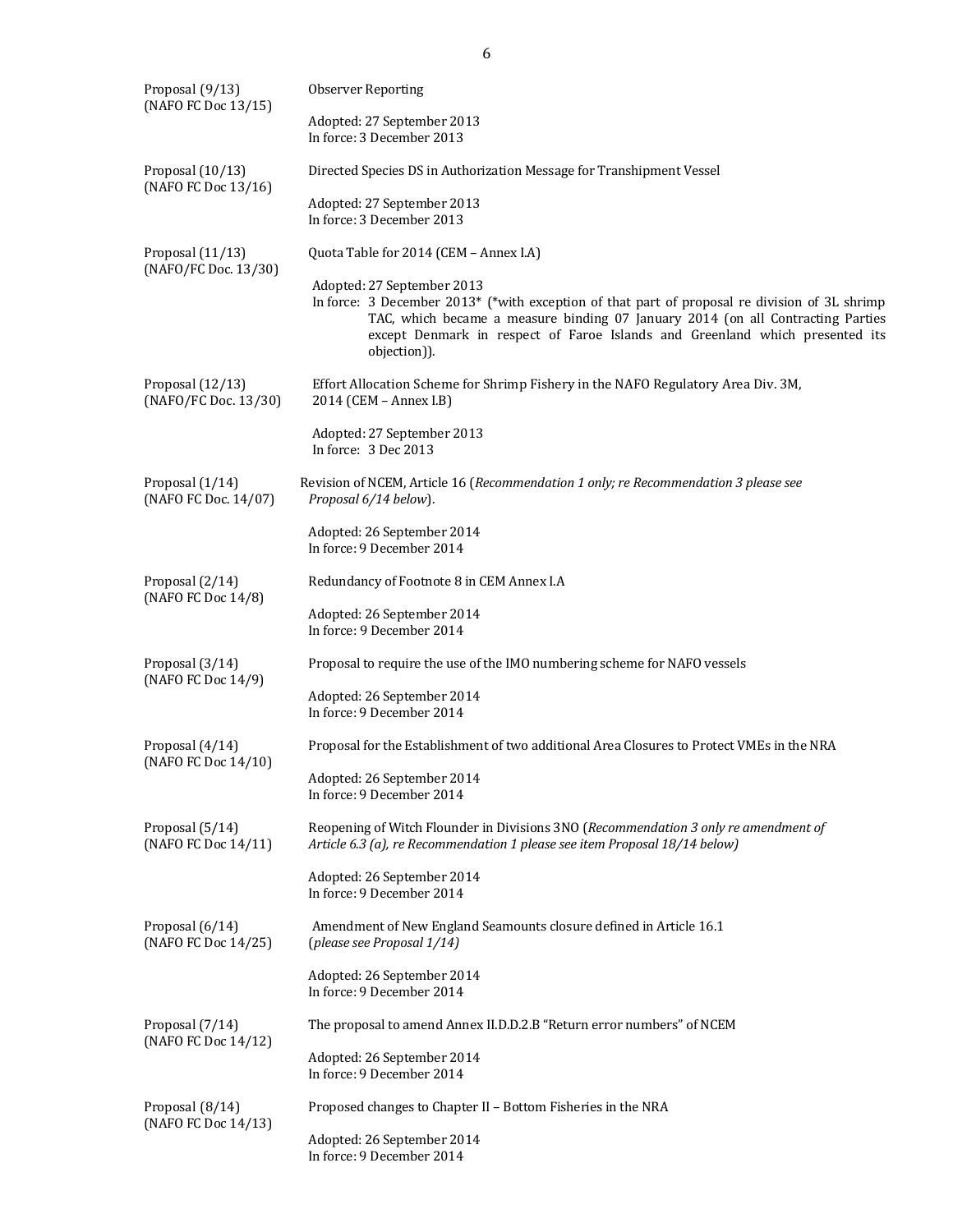| Proposal (9/13)<br>(NAFO FC Doc 13/15)   | <b>Observer Reporting</b>                                                                                                                                                                                                                                                                                      |  |  |  |  |  |  |  |  |  |
|------------------------------------------|----------------------------------------------------------------------------------------------------------------------------------------------------------------------------------------------------------------------------------------------------------------------------------------------------------------|--|--|--|--|--|--|--|--|--|
|                                          | Adopted: 27 September 2013<br>In force: 3 December 2013                                                                                                                                                                                                                                                        |  |  |  |  |  |  |  |  |  |
| Proposal (10/13)<br>(NAFO FC Doc 13/16)  | Directed Species DS in Authorization Message for Transhipment Vessel                                                                                                                                                                                                                                           |  |  |  |  |  |  |  |  |  |
|                                          | Adopted: 27 September 2013<br>In force: 3 December 2013                                                                                                                                                                                                                                                        |  |  |  |  |  |  |  |  |  |
| Proposal (11/13)<br>(NAFO/FC Doc. 13/30) | Quota Table for 2014 (CEM - Annex I.A)                                                                                                                                                                                                                                                                         |  |  |  |  |  |  |  |  |  |
|                                          | Adopted: 27 September 2013<br>In force: 3 December 2013* (*with exception of that part of proposal re division of 3L shrimp<br>TAC, which became a measure binding 07 January 2014 (on all Contracting Parties<br>except Denmark in respect of Faroe Islands and Greenland which presented its<br>objection)). |  |  |  |  |  |  |  |  |  |
| Proposal (12/13)<br>(NAFO/FC Doc. 13/30) | Effort Allocation Scheme for Shrimp Fishery in the NAFO Regulatory Area Div. 3M,<br>2014 (CEM - Annex I.B)                                                                                                                                                                                                     |  |  |  |  |  |  |  |  |  |
|                                          | Adopted: 27 September 2013<br>In force: 3 Dec 2013                                                                                                                                                                                                                                                             |  |  |  |  |  |  |  |  |  |
| Proposal (1/14)<br>(NAFO FC Doc. 14/07)  | Revision of NCEM, Article 16 (Recommendation 1 only; re Recommendation 3 please see<br>Proposal 6/14 below).                                                                                                                                                                                                   |  |  |  |  |  |  |  |  |  |
|                                          | Adopted: 26 September 2014<br>In force: 9 December 2014                                                                                                                                                                                                                                                        |  |  |  |  |  |  |  |  |  |
| Proposal (2/14)                          | Redundancy of Footnote 8 in CEM Annex I.A                                                                                                                                                                                                                                                                      |  |  |  |  |  |  |  |  |  |
| (NAFO FC Doc 14/8)                       | Adopted: 26 September 2014<br>In force: 9 December 2014                                                                                                                                                                                                                                                        |  |  |  |  |  |  |  |  |  |
| Proposal (3/14)                          | Proposal to require the use of the IMO numbering scheme for NAFO vessels                                                                                                                                                                                                                                       |  |  |  |  |  |  |  |  |  |
| (NAFO FC Doc 14/9)                       | Adopted: 26 September 2014<br>In force: 9 December 2014                                                                                                                                                                                                                                                        |  |  |  |  |  |  |  |  |  |
| Proposal (4/14)<br>(NAFO FC Doc 14/10)   | Proposal for the Establishment of two additional Area Closures to Protect VMEs in the NRA                                                                                                                                                                                                                      |  |  |  |  |  |  |  |  |  |
|                                          | Adopted: 26 September 2014<br>In force: 9 December 2014                                                                                                                                                                                                                                                        |  |  |  |  |  |  |  |  |  |
| Proposal (5/14)<br>(NAFO FC Doc 14/11)   | Reopening of Witch Flounder in Divisions 3NO (Recommendation 3 only re amendment of<br>Article 6.3 (a), re Recommendation 1 please see item Proposal 18/14 below)                                                                                                                                              |  |  |  |  |  |  |  |  |  |
|                                          | Adopted: 26 September 2014<br>In force: 9 December 2014                                                                                                                                                                                                                                                        |  |  |  |  |  |  |  |  |  |
| Proposal (6/14)<br>(NAFO FC Doc 14/25)   | Amendment of New England Seamounts closure defined in Article 16.1<br>(please see Proposal 1/14)                                                                                                                                                                                                               |  |  |  |  |  |  |  |  |  |
|                                          | Adopted: 26 September 2014<br>In force: 9 December 2014                                                                                                                                                                                                                                                        |  |  |  |  |  |  |  |  |  |
| Proposal (7/14)                          | The proposal to amend Annex II.D.D.2.B "Return error numbers" of NCEM                                                                                                                                                                                                                                          |  |  |  |  |  |  |  |  |  |
| (NAFO FC Doc 14/12)                      | Adopted: 26 September 2014<br>In force: 9 December 2014                                                                                                                                                                                                                                                        |  |  |  |  |  |  |  |  |  |
| Proposal (8/14)                          | Proposed changes to Chapter II - Bottom Fisheries in the NRA                                                                                                                                                                                                                                                   |  |  |  |  |  |  |  |  |  |
| (NAFO FC Doc 14/13)                      | Adopted: 26 September 2014<br>In force: 9 December 2014                                                                                                                                                                                                                                                        |  |  |  |  |  |  |  |  |  |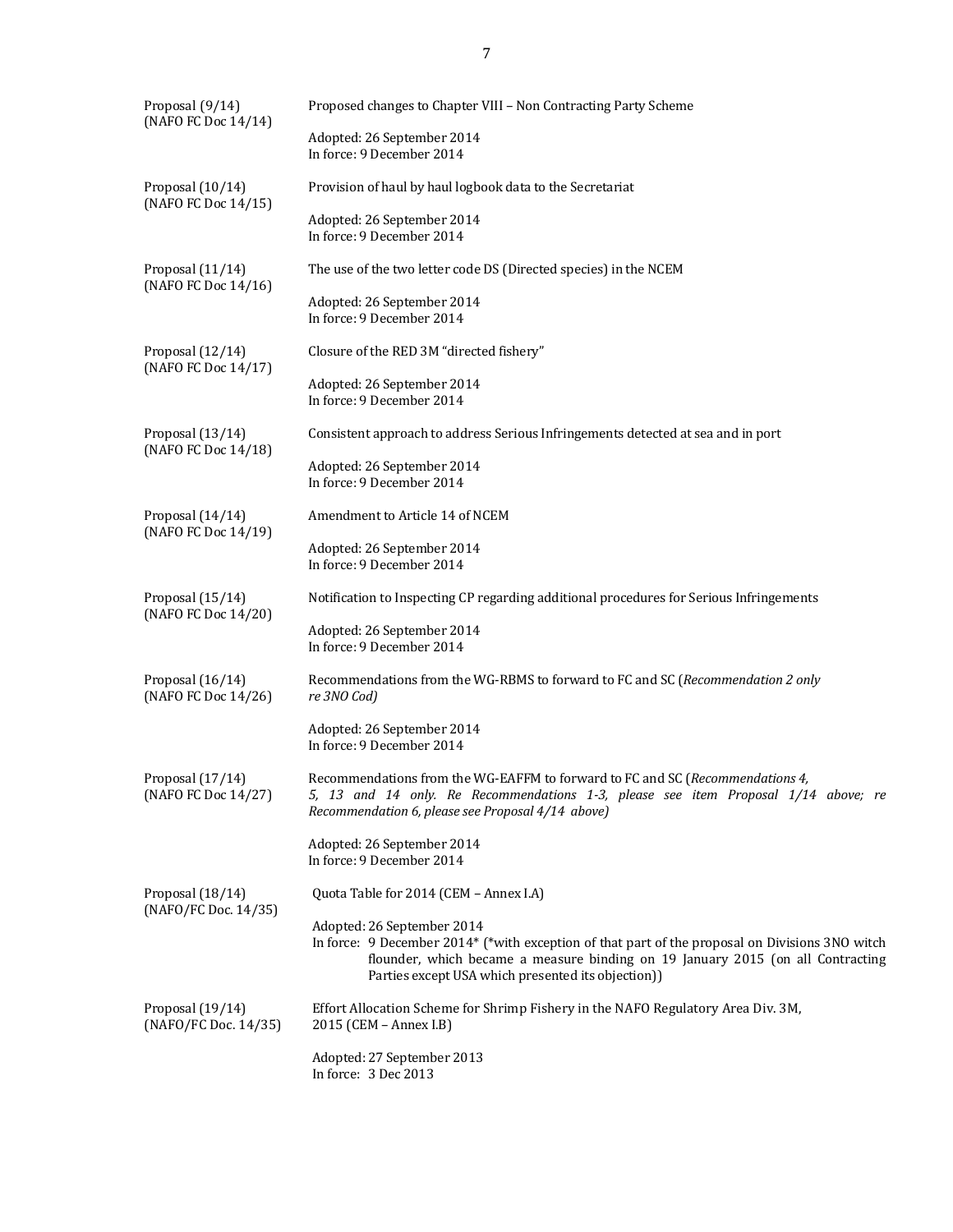| Proposal (9/14)<br>(NAFO FC Doc 14/14)   | Proposed changes to Chapter VIII - Non Contracting Party Scheme                                                                                                                                                                                                        |  |  |  |  |  |  |  |
|------------------------------------------|------------------------------------------------------------------------------------------------------------------------------------------------------------------------------------------------------------------------------------------------------------------------|--|--|--|--|--|--|--|
|                                          | Adopted: 26 September 2014<br>In force: 9 December 2014                                                                                                                                                                                                                |  |  |  |  |  |  |  |
| Proposal (10/14)<br>(NAFO FC Doc 14/15)  | Provision of haul by haul logbook data to the Secretariat                                                                                                                                                                                                              |  |  |  |  |  |  |  |
|                                          | Adopted: 26 September 2014<br>In force: 9 December 2014                                                                                                                                                                                                                |  |  |  |  |  |  |  |
| Proposal (11/14)<br>(NAFO FC Doc 14/16)  | The use of the two letter code DS (Directed species) in the NCEM                                                                                                                                                                                                       |  |  |  |  |  |  |  |
|                                          | Adopted: 26 September 2014<br>In force: 9 December 2014                                                                                                                                                                                                                |  |  |  |  |  |  |  |
| Proposal (12/14)<br>(NAFO FC Doc 14/17)  | Closure of the RED 3M "directed fishery"                                                                                                                                                                                                                               |  |  |  |  |  |  |  |
|                                          | Adopted: 26 September 2014<br>In force: 9 December 2014                                                                                                                                                                                                                |  |  |  |  |  |  |  |
| Proposal (13/14)<br>(NAFO FC Doc 14/18)  | Consistent approach to address Serious Infringements detected at sea and in port                                                                                                                                                                                       |  |  |  |  |  |  |  |
|                                          | Adopted: 26 September 2014<br>In force: 9 December 2014                                                                                                                                                                                                                |  |  |  |  |  |  |  |
| Proposal (14/14)<br>(NAFO FC Doc 14/19)  | Amendment to Article 14 of NCEM                                                                                                                                                                                                                                        |  |  |  |  |  |  |  |
|                                          | Adopted: 26 September 2014<br>In force: 9 December 2014                                                                                                                                                                                                                |  |  |  |  |  |  |  |
| Proposal (15/14)<br>(NAFO FC Doc 14/20)  | Notification to Inspecting CP regarding additional procedures for Serious Infringements                                                                                                                                                                                |  |  |  |  |  |  |  |
|                                          | Adopted: 26 September 2014<br>In force: 9 December 2014                                                                                                                                                                                                                |  |  |  |  |  |  |  |
| Proposal (16/14)<br>(NAFO FC Doc 14/26)  | Recommendations from the WG-RBMS to forward to FC and SC (Recommendation 2 only<br>re 3NO Cod)                                                                                                                                                                         |  |  |  |  |  |  |  |
|                                          | Adopted: 26 September 2014<br>In force: 9 December 2014                                                                                                                                                                                                                |  |  |  |  |  |  |  |
| Proposal (17/14)<br>(NAFO FC Doc 14/27)  | Recommendations from the WG-EAFFM to forward to FC and SC ( <i>Recommendations 4,</i><br>5, 13 and 14 only. Re Recommendations 1-3, please see item Proposal 1/14 above; re<br>Recommendation 6, please see Proposal 4/14 above)                                       |  |  |  |  |  |  |  |
|                                          | Adopted: 26 September 2014<br>In force: 9 December 2014                                                                                                                                                                                                                |  |  |  |  |  |  |  |
| Proposal (18/14)<br>(NAFO/FC Doc. 14/35) | Quota Table for 2014 (CEM - Annex I.A)                                                                                                                                                                                                                                 |  |  |  |  |  |  |  |
|                                          | Adopted: 26 September 2014<br>In force: 9 December 2014* (*with exception of that part of the proposal on Divisions 3NO witch<br>flounder, which became a measure binding on 19 January 2015 (on all Contracting<br>Parties except USA which presented its objection)) |  |  |  |  |  |  |  |
| Proposal (19/14)<br>(NAFO/FC Doc. 14/35) | Effort Allocation Scheme for Shrimp Fishery in the NAFO Regulatory Area Div. 3M,<br>2015 (CEM - Annex I.B)                                                                                                                                                             |  |  |  |  |  |  |  |
|                                          | Adopted: 27 September 2013<br>In force: 3 Dec 2013                                                                                                                                                                                                                     |  |  |  |  |  |  |  |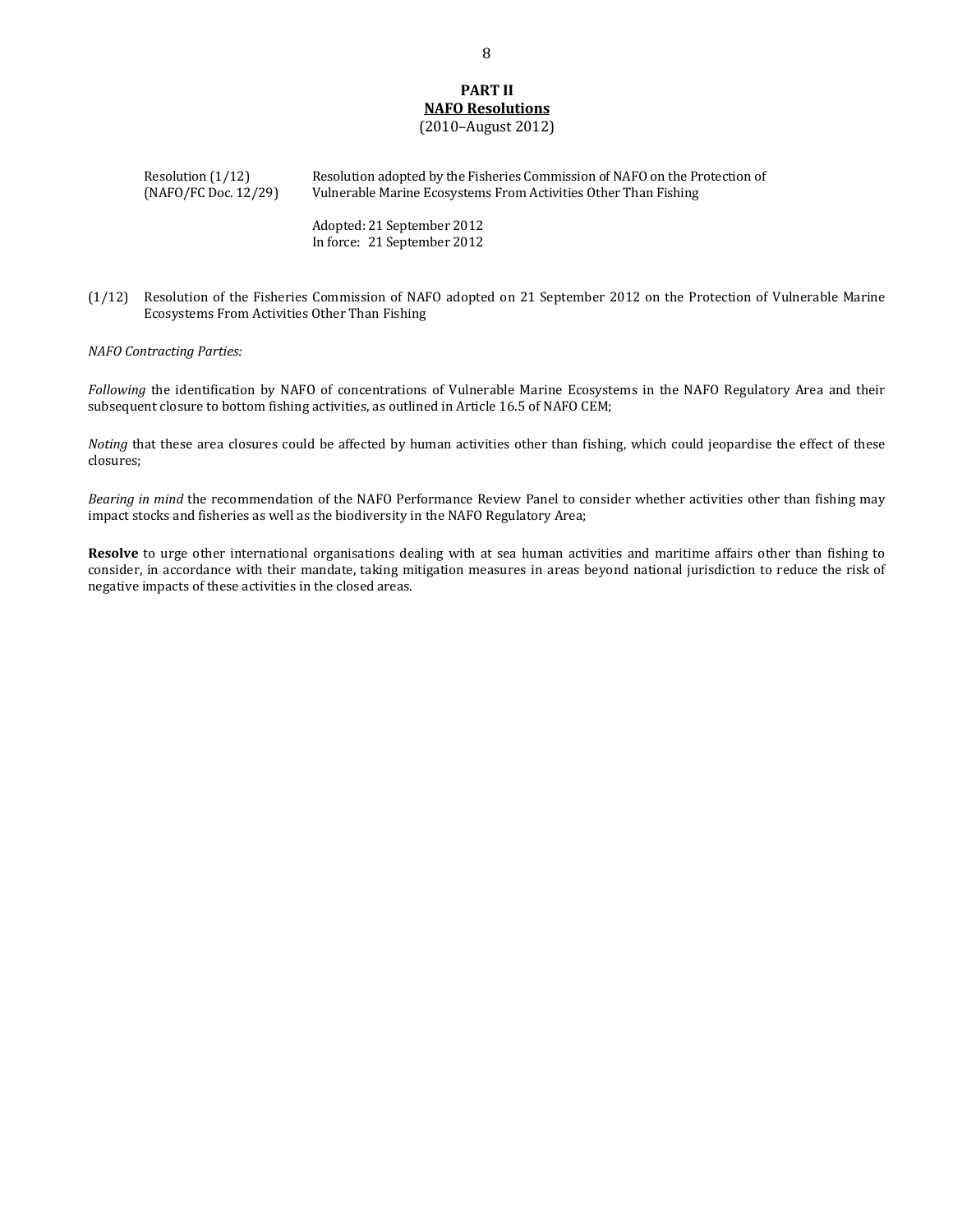#### **PART II NAFO Resolutions** (2010–August 2012)

Resolution (1/12) Resolution adopted by the Fisheries Commission of NAFO on the Protection of (NAFO/FC Doc. 12/29) Vulnerable Marine Ecosystems From Activities Other Than Fishing

> Adopted: 21 September 2012 In force: 21 September 2012

(1/12) Resolution of the Fisheries Commission of NAFO adopted on 21 September 2012 on the Protection of Vulnerable Marine Ecosystems From Activities Other Than Fishing

*NAFO Contracting Parties:*

*Following* the identification by NAFO of concentrations of Vulnerable Marine Ecosystems in the NAFO Regulatory Area and their subsequent closure to bottom fishing activities, as outlined in Article 16.5 of NAFO CEM;

*Noting* that these area closures could be affected by human activities other than fishing, which could jeopardise the effect of these closures;

*Bearing in mind* the recommendation of the NAFO Performance Review Panel to consider whether activities other than fishing may impact stocks and fisheries as well as the biodiversity in the NAFO Regulatory Area;

**Resolve** to urge other international organisations dealing with at sea human activities and maritime affairs other than fishing to consider, in accordance with their mandate, taking mitigation measures in areas beyond national jurisdiction to reduce the risk of negative impacts of these activities in the closed areas.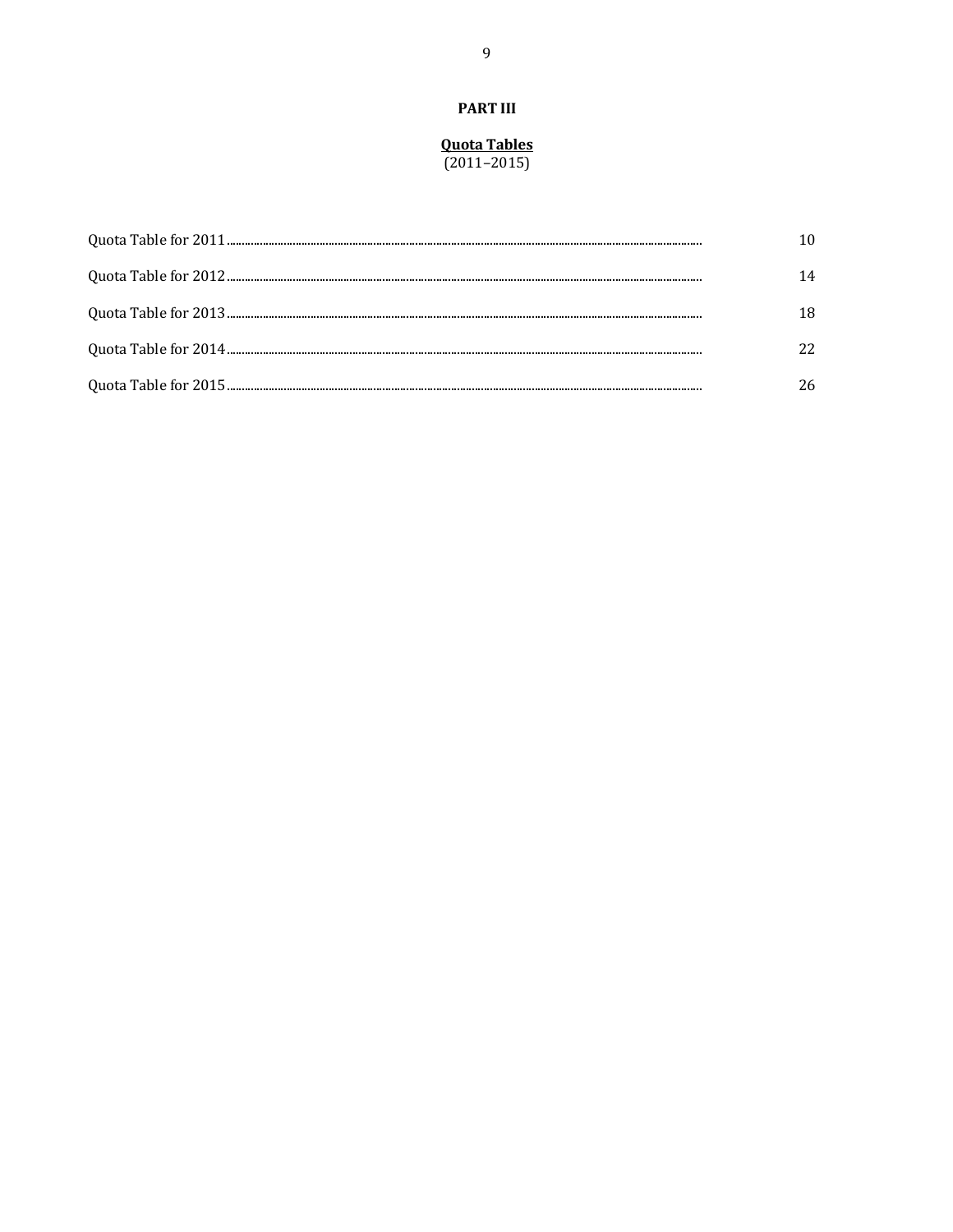### **PART III**

#### **Quota Tables**  $(2011 - 2015)$

| 14  |
|-----|
| 18. |
|     |
| 26  |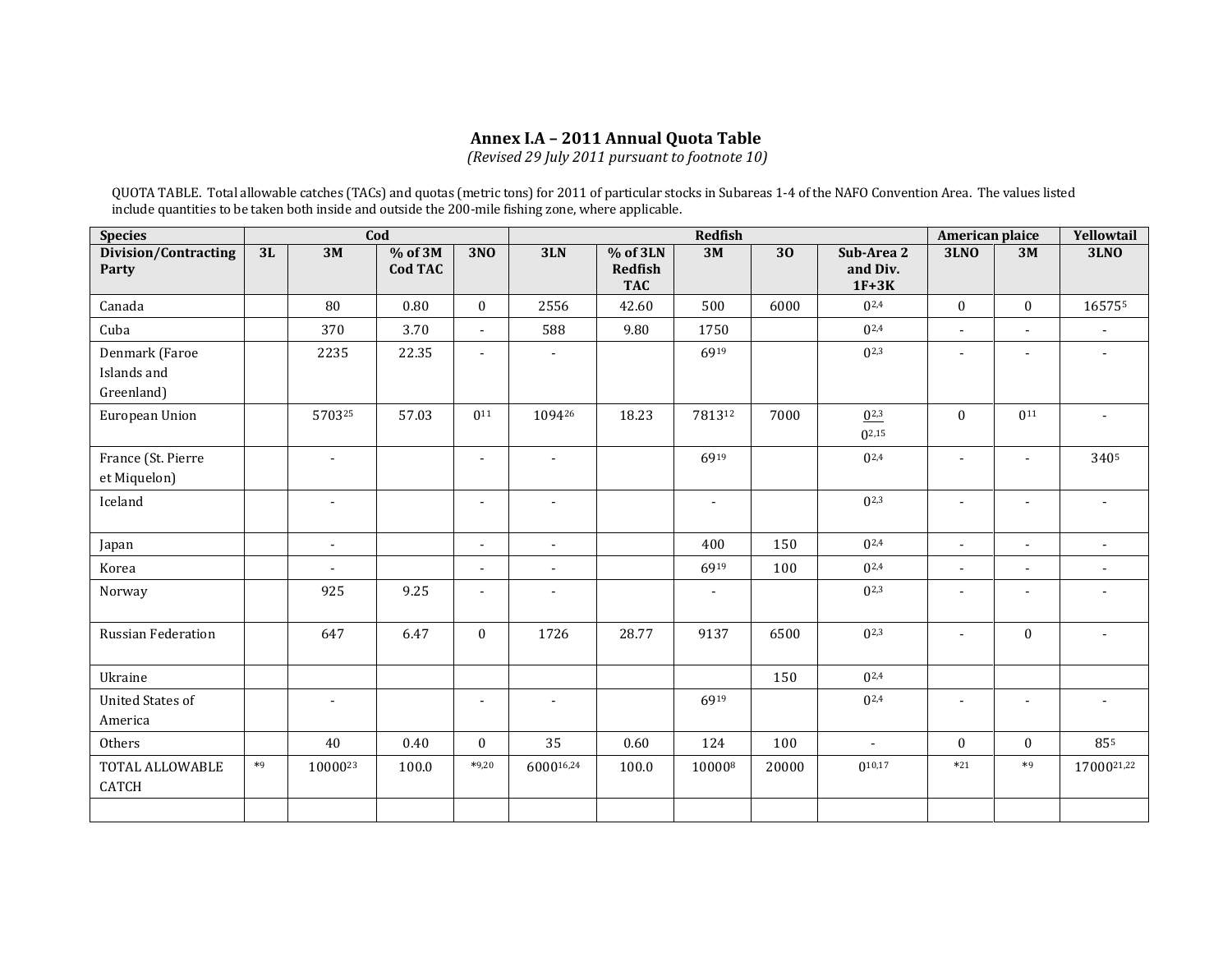# **Annex I.A – 2011 Annual Quota Table**

*(Revised 29 July 2011 pursuant to footnote 10)*

QUOTA TABLE. Total allowable catches (TACs) and quotas (metric tons) for 2011 of particular stocks in Subareas 1-4 of the NAFO Convention Area. The values listed include quantities to be taken both inside and outside the 200-mile fishing zone, where applicable.

| Cod<br><b>Species</b>                       |      |                |                           | <b>Redfish</b>           |                |                                   |                |       |                                   | American plaice          |                          |                          |
|---------------------------------------------|------|----------------|---------------------------|--------------------------|----------------|-----------------------------------|----------------|-------|-----------------------------------|--------------------------|--------------------------|--------------------------|
| Division/Contracting<br>Party               | 3L   | 3M             | % of 3M<br><b>Cod TAC</b> | <b>3NO</b>               | 3LN            | % of 3LN<br>Redfish<br><b>TAC</b> | 3M             | 30    | Sub-Area 2<br>and Div.<br>$1F+3K$ | <b>3LNO</b>              | 3M                       | <b>3LNO</b>              |
| Canada                                      |      | 80             | 0.80                      | $\mathbf{0}$             | 2556           | 42.60                             | 500            | 6000  | $0^{2,4}$                         | $\mathbf{0}$             | $\mathbf{0}$             | 165755                   |
| Cuba                                        |      | 370            | 3.70                      | $\blacksquare$           | 588            | 9.80                              | 1750           |       | $0^{2,4}$                         | $\overline{a}$           | $\overline{\phantom{a}}$ |                          |
| Denmark (Faroe<br>Islands and<br>Greenland) |      | 2235           | 22.35                     |                          | $\blacksquare$ |                                   | 6919           |       | $0^{2,3}$                         |                          |                          |                          |
| European Union                              |      | 570325         | 57.03                     | 0 <sup>11</sup>          | 109426         | 18.23                             | 781312         | 7000  | $0^{2,3}$<br>$0^{2,15}$           | $\theta$                 | $0^{11}$                 | $\overline{a}$           |
| France (St. Pierre<br>et Miquelon)          |      | $\blacksquare$ |                           | $\blacksquare$           | $\blacksquare$ |                                   | 6919           |       | $0^{2,4}$                         | $\overline{a}$           |                          | 3405                     |
| Iceland                                     |      | $\blacksquare$ |                           | $\blacksquare$           | $\sim$         |                                   | $\blacksquare$ |       | $0^{2,3}$                         | $\blacksquare$           | $\blacksquare$           | $\sim$                   |
| Japan                                       |      | $\mathcal{L}$  |                           | $\overline{a}$           | $\blacksquare$ |                                   | 400            | 150   | $0^{2,4}$                         | $\overline{a}$           | $\overline{a}$           | $\overline{a}$           |
| Korea                                       |      | $\overline{a}$ |                           | $\blacksquare$           | $\blacksquare$ |                                   | 6919           | 100   | $0^{2,4}$                         | $\blacksquare$           | $\blacksquare$           |                          |
| Norway                                      |      | 925            | 9.25                      | $\blacksquare$           | $\blacksquare$ |                                   | $\blacksquare$ |       | $0^{2,3}$                         | $\overline{a}$           |                          |                          |
| <b>Russian Federation</b>                   |      | 647            | 6.47                      | $\mathbf{0}$             | 1726           | 28.77                             | 9137           | 6500  | $0^{2,3}$                         | $\overline{a}$           | $\mathbf{0}$             |                          |
| Ukraine                                     |      |                |                           |                          |                |                                   |                | 150   | $0^{2,4}$                         |                          |                          |                          |
| <b>United States of</b><br>America          |      | $\blacksquare$ |                           | $\overline{\phantom{a}}$ | $\blacksquare$ |                                   | 6919           |       | $0^{2,4}$                         | $\overline{\phantom{m}}$ | $\overline{\phantom{a}}$ | $\overline{\phantom{a}}$ |
| Others                                      |      | 40             | 0.40                      | $\theta$                 | 35             | 0.60                              | 124            | 100   | $\blacksquare$                    | $\theta$                 | $\overline{0}$           | 855                      |
| TOTAL ALLOWABLE<br><b>CATCH</b>             | $*9$ | 1000023        | 100.0                     | $*9,20$                  | 600016,24      | 100.0                             | 100008         | 20000 | $0^{10,17}$                       | $*21$                    | $*9$                     | 1700021,22               |
|                                             |      |                |                           |                          |                |                                   |                |       |                                   |                          |                          |                          |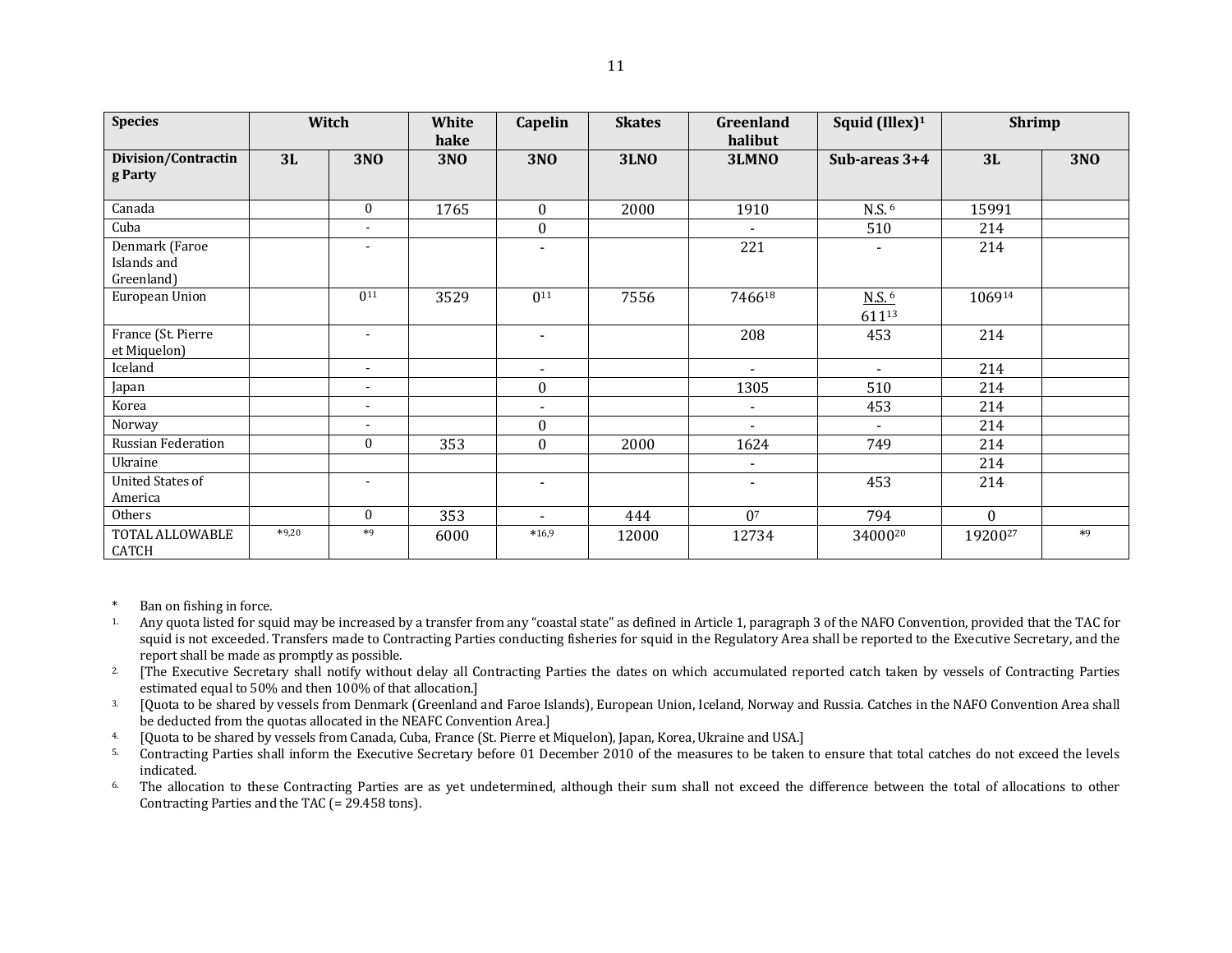| <b>Species</b>                              | Witch   |                          | White              | Capelin                  | <b>Skates</b> | Greenland                | Squid (Illex) <sup>1</sup>   | <b>Shrimp</b>       |            |
|---------------------------------------------|---------|--------------------------|--------------------|--------------------------|---------------|--------------------------|------------------------------|---------------------|------------|
| Division/Contractin<br>g Party              | 3L      | <b>3NO</b>               | hake<br><b>3NO</b> | <b>3NO</b>               | <b>3LNO</b>   | halibut<br>3LMNO         | Sub-areas 3+4                | 3L                  | <b>3NO</b> |
| Canada                                      |         | $\mathbf{0}$             | 1765               | $\boldsymbol{0}$         | 2000          | 1910                     | N.S. <sup>6</sup>            | 15991               |            |
| Cuba                                        |         | $\overline{\phantom{a}}$ |                    | $\boldsymbol{0}$         |               | $\blacksquare$           | 510                          | 214                 |            |
| Denmark (Faroe<br>Islands and<br>Greenland) |         | $\overline{a}$           |                    | $\overline{\phantom{a}}$ |               | 221                      |                              | 214                 |            |
| European Union                              |         | 0 <sup>11</sup>          | 3529               | $0^{11}$                 | 7556          | 746618                   | $N.S.$ <sup>6</sup><br>61113 | 106914              |            |
| France (St. Pierre<br>et Miquelon)          |         | $\overline{\phantom{a}}$ |                    | $\blacksquare$           |               | 208                      | 453                          | 214                 |            |
| Iceland                                     |         | $\overline{\phantom{a}}$ |                    | $\blacksquare$           |               | $\blacksquare$           | $\sim$                       | 214                 |            |
| Japan                                       |         | $\overline{\phantom{a}}$ |                    | $\boldsymbol{0}$         |               | 1305                     | 510                          | 214                 |            |
| Korea                                       |         | $\overline{a}$           |                    | $\blacksquare$           |               | $\blacksquare$           | 453                          | 214                 |            |
| Norway                                      |         | $\blacksquare$           |                    | $\boldsymbol{0}$         |               |                          |                              | 214                 |            |
| Russian Federation                          |         | $\bf{0}$                 | 353                | $\boldsymbol{0}$         | 2000          | 1624                     | 749                          | 214                 |            |
| Ukraine                                     |         |                          |                    |                          |               | $\blacksquare$           |                              | 214                 |            |
| <b>United States of</b><br>America          |         | $\overline{\phantom{a}}$ |                    | $\overline{\phantom{a}}$ |               | $\overline{\phantom{a}}$ | 453                          | 214                 |            |
| Others                                      |         | $\mathbf{0}$             | 353                | $\blacksquare$           | 444           | 0 <sup>7</sup>           | 794                          | $\Omega$            |            |
| TOTAL ALLOWABLE<br>CATCH                    | $*9,20$ | $*9$                     | 6000               | $*16,9$                  | 12000         | 12734                    | 3400020                      | 19200 <sup>27</sup> | $*9$       |

Ban on fishing in force.

- <sup>1</sup>. Any quota listed for squid may be increased by a transfer from any "coastal state" as defined in Article 1, paragraph 3 of the NAFO Convention, provided that the TAC for squid is not exceeded. Transfers made to Contracting Parties conducting fisheries for squid in the Regulatory Area shall be reported to the Executive Secretary, and the report shall be made as promptly as possible.
- <sup>2</sup>. [The Executive Secretary shall notify without delay all Contracting Parties the dates on which accumulated reported catch taken by vessels of Contracting Parties estimated equal to 50% and then 100% of that allocation.]
- <sup>3</sup>. [Quota to be shared by vessels from Denmark (Greenland and Faroe Islands), European Union, Iceland, Norway and Russia. Catches in the NAFO Convention Area shall be deducted from the quotas allocated in the NEAFC Convention Area.]
- 4. [Quota to be shared by vessels from Canada, Cuba, France (St. Pierre et Miquelon), Japan, Korea, Ukraine and USA.]
- <sup>5</sup>. Contracting Parties shall inform the Executive Secretary before 01 December 2010 of the measures to be taken to ensure that total catches do not exceed the levels indicated.
- <sup>6</sup> The allocation to these Contracting Parties are as yet undetermined, although their sum shall not exceed the difference between the total of allocations to other Contracting Parties and the TAC (= 29.458 tons).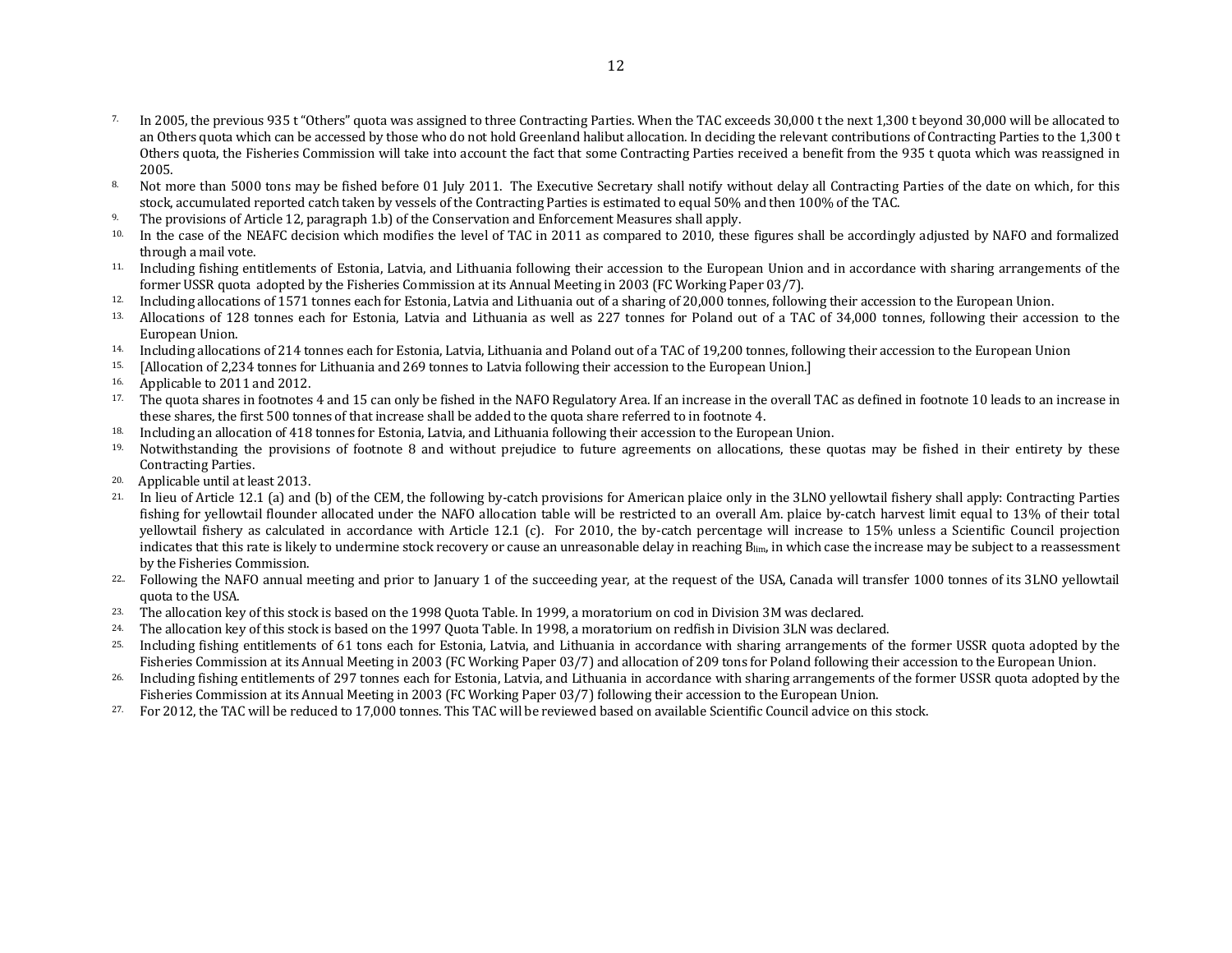- <sup>7.</sup> In 2005, the previous 935 t "Others" quota was assigned to three Contracting Parties. When the TAC exceeds 30,000 t the next 1,300 t beyond 30,000 will be allocated to an Others quota which can be accessed by those who do not hold Greenland halibut allocation. In deciding the relevant contributions of Contracting Parties to the 1,300 t Others quota, the Fisheries Commission will take into account the fact that some Contracting Parties received a benefit from the 935 t quota which was reassigned in 2005.
- 8. Not more than 5000 tons may be fished before 01 July 2011. The Executive Secretary shall notify without delay all Contracting Parties of the date on which, for this stock, accumulated reported catch taken by vessels of the Contracting Parties is estimated to equal 50% and then 100% of the TAC.
- 9. The provisions of Article 12, paragraph 1.b) of the Conservation and Enforcement Measures shall apply.
- <sup>10.</sup> In the case of the NEAFC decision which modifies the level of TAC in 2011 as compared to 2010, these figures shall be accordingly adjusted by NAFO and formalized through a mail vote.
- 11. Including fishing entitlements of Estonia, Latvia, and Lithuania following their accession to the European Union and in accordance with sharing arrangements of the former USSR quota adopted by the Fisheries Commission at its Annual Meeting in 2003 (FC Working Paper 03/7).
- <sup>12.</sup> Including allocations of 1571 tonnes each for Estonia, Latvia and Lithuania out of a sharing of 20,000 tonnes, following their accession to the European Union.
- <sup>13.</sup> Allocations of 128 tonnes each for Estonia, Latvia and Lithuania as well as 227 tonnes for Poland out of a TAC of 34,000 tonnes, following their accession to the European Union.
- 14. Including allocations of 214 tonnes each for Estonia, Latvia, Lithuania and Poland out of a TAC of 19,200 tonnes, following their accession to the European Union
- 15. [Allocation of 2,234 tonnes for Lithuania and 269 tonnes to Latvia following their accession to the European Union.]
- 16. Applicable to 2011 and 2012.
- <sup>17.</sup> The quota shares in footnotes 4 and 15 can only be fished in the NAFO Regulatory Area. If an increase in the overall TAC as defined in footnote 10 leads to an increase in these shares, the first 500 tonnes of that increase shall be added to the quota share referred to in footnote 4.
- 18. Including an allocation of 418 tonnes for Estonia, Latvia, and Lithuania following their accession to the European Union.
- <sup>19.</sup> Notwithstanding the provisions of footnote 8 and without prejudice to future agreements on allocations, these quotas may be fished in their entirety by these Contracting Parties.
- 20. Applicable until at least 2013.
- <sup>21.</sup> In lieu of Article 12.1 (a) and (b) of the CEM, the following by-catch provisions for American plaice only in the 3LNO yellowtail fishery shall apply: Contracting Parties fishing for yellowtail flounder allocated under the NAFO allocation table will be restricted to an overall Am. plaice by-catch harvest limit equal to 13% of their total yellowtail fishery as calculated in accordance with Article 12.1 (c). For 2010, the by-catch percentage will increase to 15% unless a Scientific Council projection indicates that this rate is likely to undermine stock recovery or cause an unreasonable delay in reaching Blim, in which case the increase may be subject to a reassessment by the Fisheries Commission.
- <sup>22</sup>. Following the NAFO annual meeting and prior to January 1 of the succeeding year, at the request of the USA, Canada will transfer 1000 tonnes of its 3LNO yellowtail quota to the USA.
- <sup>23.</sup> The allocation key of this stock is based on the 1998 Quota Table. In 1999, a moratorium on cod in Division 3M was declared.
- <sup>24.</sup> The allocation key of this stock is based on the 1997 Quota Table. In 1998, a moratorium on redfish in Division 3LN was declared.
- 25. Including fishing entitlements of 61 tons each for Estonia, Latvia, and Lithuania in accordance with sharing arrangements of the former USSR quota adopted by the Fisheries Commission at its Annual Meeting in 2003 (FC Working Paper 03/7) and allocation of 209 tons for Poland following their accession to the European Union.
- 26. Including fishing entitlements of 297 tonnes each for Estonia, Latvia, and Lithuania in accordance with sharing arrangements of the former USSR quota adopted by the Fisheries Commission at its Annual Meeting in 2003 (FC Working Paper 03/7) following their accession to the European Union.
- 27. For 2012, the TAC will be reduced to 17,000 tonnes. This TAC will be reviewed based on available Scientific Council advice on this stock.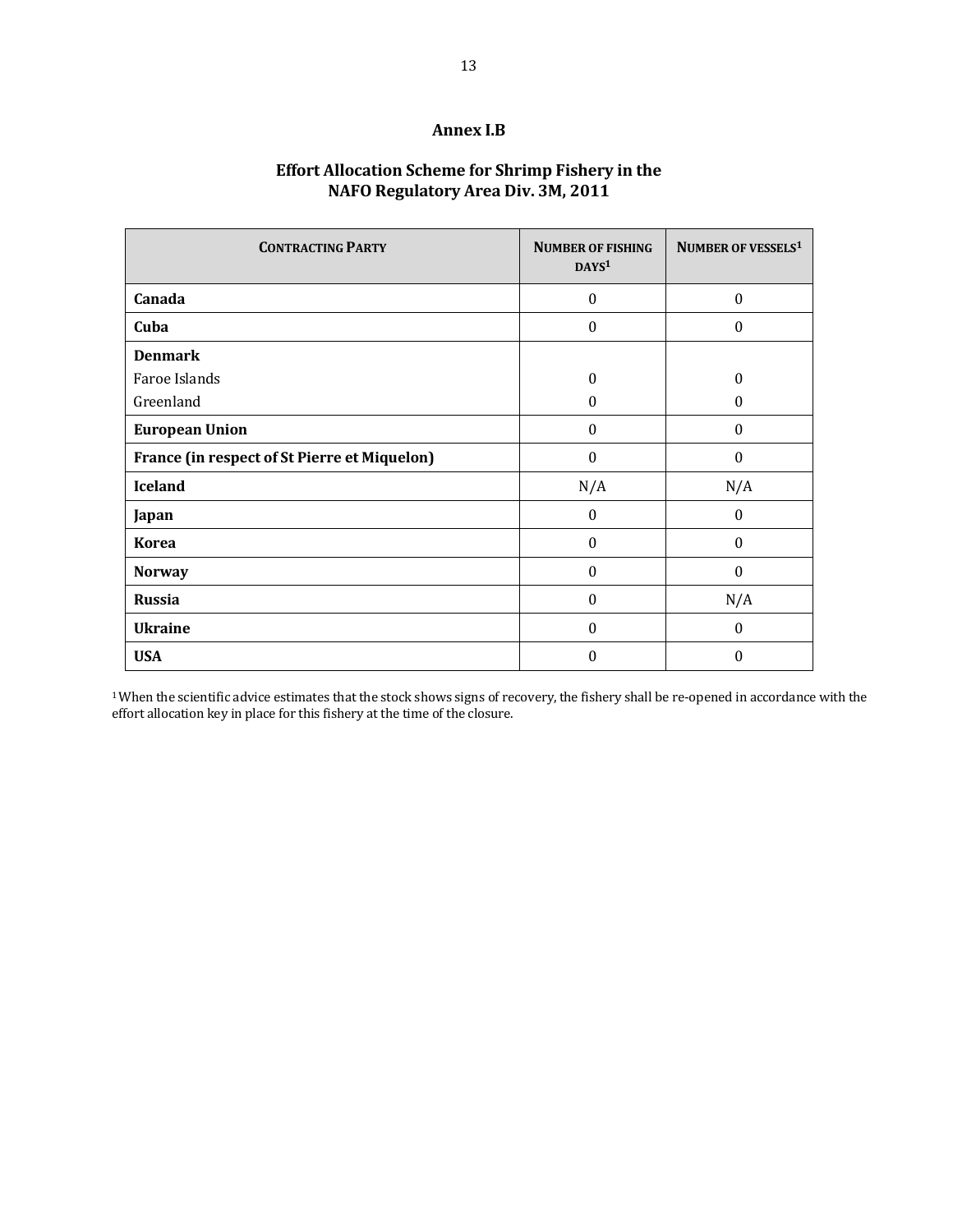### **Annex I.B**

### **Effort Allocation Scheme for Shrimp Fishery in the NAFO Regulatory Area Div. 3M, 2011**

| <b>CONTRACTING PARTY</b>                     | <b>NUMBER OF FISHING</b><br>DAYS <sup>1</sup> | NUMBER OF VESSELS <sup>1</sup> |  |  |
|----------------------------------------------|-----------------------------------------------|--------------------------------|--|--|
| Canada                                       | $\Omega$                                      | $\Omega$                       |  |  |
| Cuba                                         | $\Omega$                                      | $\Omega$                       |  |  |
| <b>Denmark</b>                               |                                               |                                |  |  |
| Faroe Islands                                | $\Omega$                                      | $\theta$                       |  |  |
| Greenland                                    | $\Omega$                                      | 0                              |  |  |
| <b>European Union</b>                        | $\theta$                                      | $\Omega$                       |  |  |
| France (in respect of St Pierre et Miquelon) | $\Omega$                                      | $\Omega$                       |  |  |
| <b>Iceland</b>                               | N/A                                           | N/A                            |  |  |
| Japan                                        | $\Omega$                                      | $\Omega$                       |  |  |
| <b>Korea</b>                                 | $\Omega$                                      | $\theta$                       |  |  |
| <b>Norway</b>                                | $\theta$                                      | $\Omega$                       |  |  |
| <b>Russia</b>                                | $\Omega$                                      | N/A                            |  |  |
| <b>Ukraine</b>                               | $\theta$                                      | $\Omega$                       |  |  |
| <b>USA</b>                                   | $\Omega$                                      | $\theta$                       |  |  |

<sup>1</sup>When the scientific advice estimates that the stock shows signs of recovery, the fishery shall be re-opened in accordance with the effort allocation key in place for this fishery at the time of the closure.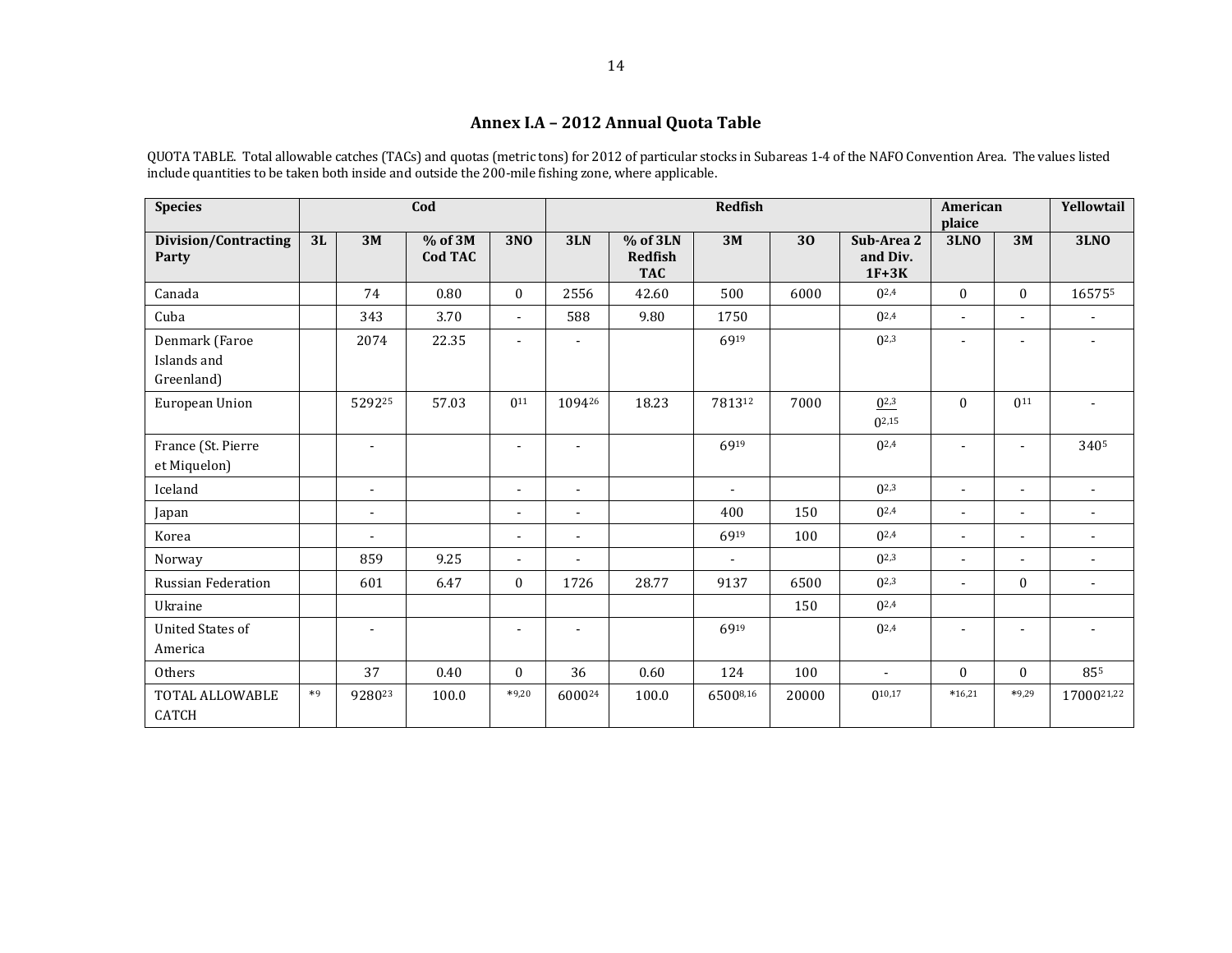# **Annex I.A – 2012 Annual Quota Table**

QUOTA TABLE. Total allowable catches (TACs) and quotas (metric tons) for 2012 of particular stocks in Subareas 1-4 of the NAFO Convention Area. The values listed include quantities to be taken both inside and outside the 200-mile fishing zone, where applicable.

| <b>Species</b>                              | Cod  |                |                    |                          | <b>Redfish</b>           |                                          |                          |       |                                   | <b>American</b><br>plaice |                          | Yellowtail               |
|---------------------------------------------|------|----------------|--------------------|--------------------------|--------------------------|------------------------------------------|--------------------------|-------|-----------------------------------|---------------------------|--------------------------|--------------------------|
| <b>Division/Contracting</b><br>Party        | 3L   | 3M             | % of 3M<br>Cod TAC | <b>3NO</b>               | 3LN                      | % of 3LN<br><b>Redfish</b><br><b>TAC</b> | 3M                       | 30    | Sub-Area 2<br>and Div.<br>$1F+3K$ | <b>3LNO</b>               | 3M                       | <b>3LNO</b>              |
| Canada                                      |      | 74             | 0.80               | $\mathbf{0}$             | 2556                     | 42.60                                    | 500                      | 6000  | $0^{2,4}$                         | $\theta$                  | $\mathbf{0}$             | 165755                   |
| Cuba                                        |      | 343            | 3.70               | $\overline{\phantom{a}}$ | 588                      | 9.80                                     | 1750                     |       | $0^{2,4}$                         | $\blacksquare$            | $\overline{\phantom{a}}$ |                          |
| Denmark (Faroe<br>Islands and<br>Greenland) |      | 2074           | 22.35              | $\overline{\phantom{m}}$ | $\blacksquare$           |                                          | 6919                     |       | $0^{2,3}$                         |                           | $\overline{\phantom{a}}$ | $\overline{\phantom{a}}$ |
| European Union                              |      | 529225         | 57.03              | 0 <sup>11</sup>          | 109426                   | 18.23                                    | 781312                   | 7000  | $0^{2,3}$<br>$0^{2,15}$           | $\theta$                  | 011                      |                          |
| France (St. Pierre<br>et Miquelon)          |      | $\blacksquare$ |                    | $\blacksquare$           | $\blacksquare$           |                                          | 6919                     |       | $0^{2,4}$                         |                           | $\blacksquare$           | 3405                     |
| Iceland                                     |      | $\blacksquare$ |                    | $\blacksquare$           | $\blacksquare$           |                                          | $\overline{\phantom{a}}$ |       | $0^{2,3}$                         | ٠                         | $\blacksquare$           |                          |
| Japan                                       |      | $\blacksquare$ |                    | $\blacksquare$           | $\blacksquare$           |                                          | 400                      | 150   | $0^{2,4}$                         | $\blacksquare$            | $\blacksquare$           | $\blacksquare$           |
| Korea                                       |      | $\blacksquare$ |                    | $\blacksquare$           | $\overline{\phantom{a}}$ |                                          | 6919                     | 100   | $0^{2,4}$                         | $\overline{a}$            | $\blacksquare$           |                          |
| Norway                                      |      | 859            | 9.25               | $\blacksquare$           |                          |                                          |                          |       | $0^{2,3}$                         |                           | $\overline{\phantom{a}}$ |                          |
| <b>Russian Federation</b>                   |      | 601            | 6.47               | $\mathbf{0}$             | 1726                     | 28.77                                    | 9137                     | 6500  | $0^{2,3}$                         | $\blacksquare$            | $\boldsymbol{0}$         | $\blacksquare$           |
| Ukraine                                     |      |                |                    |                          |                          |                                          |                          | 150   | $0^{2,4}$                         |                           |                          |                          |
| <b>United States of</b><br>America          |      | $\blacksquare$ |                    | ٠                        | $\blacksquare$           |                                          | 6919                     |       | $0^{2,4}$                         |                           | ÷                        |                          |
| Others                                      |      | 37             | 0.40               | $\mathbf{0}$             | 36                       | 0.60                                     | 124                      | 100   | ÷                                 | $\theta$                  | $\Omega$                 | 855                      |
| TOTAL ALLOWABLE<br><b>CATCH</b>             | $*9$ | 928023         | 100.0              | $*9,20$                  | 600024                   | 100.0                                    | 65008,16                 | 20000 | $0^{10,17}$                       | $*16,21$                  | $*9,29$                  | 1700021,22               |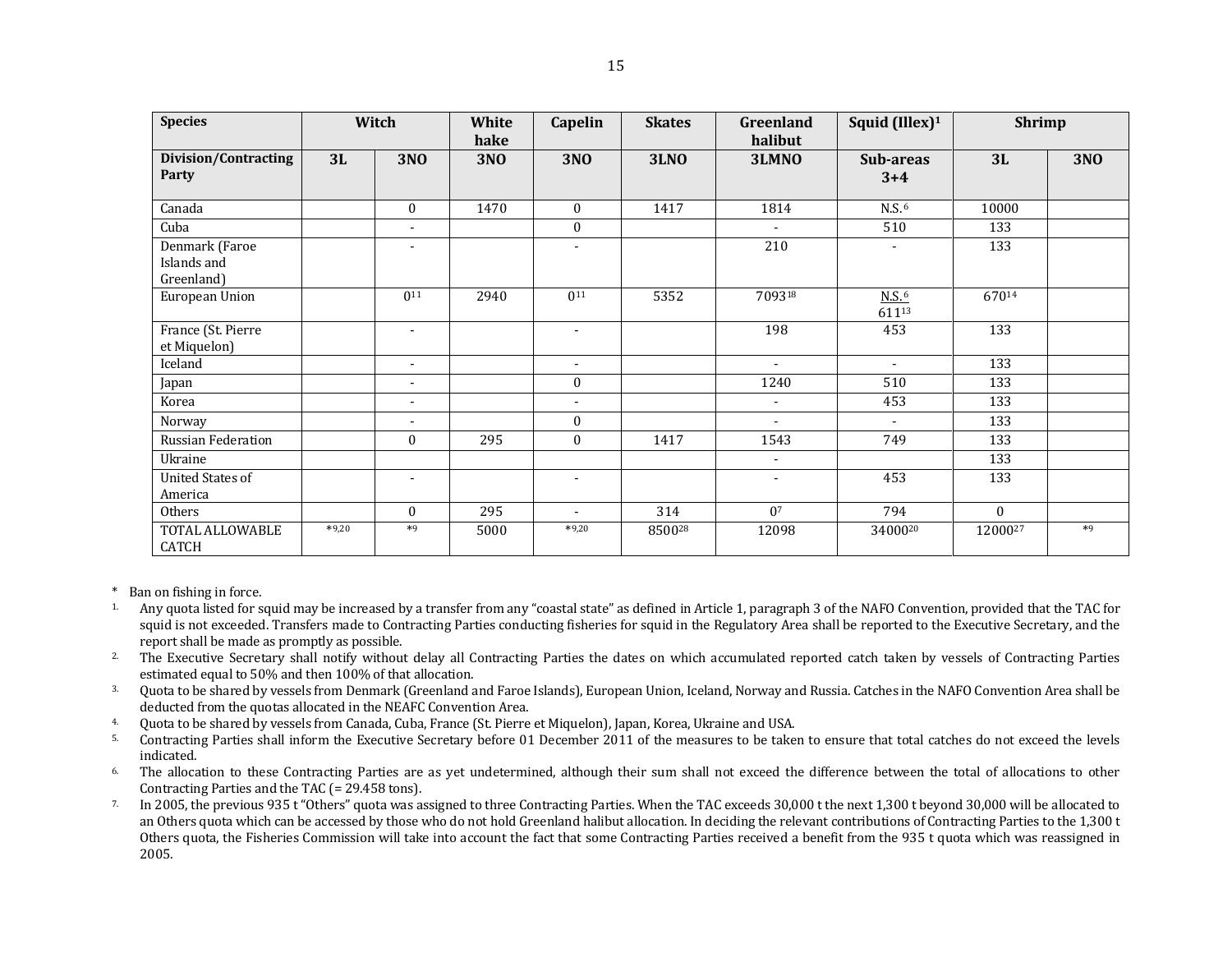| <b>Species</b>                              |         | Witch                    | White<br>hake | Capelin                  | <b>Skates</b> | <b>Greenland</b><br>halibut | Squid (Illex) <sup>1</sup> | <b>Shrimp</b> |            |
|---------------------------------------------|---------|--------------------------|---------------|--------------------------|---------------|-----------------------------|----------------------------|---------------|------------|
| <b>Division/Contracting</b><br>Party        | 3L      | <b>3NO</b>               | <b>3NO</b>    | <b>3NO</b>               | <b>3LNO</b>   | 3LMNO                       | Sub-areas<br>$3 + 4$       | 3L            | <b>3NO</b> |
| Canada                                      |         | $\bf{0}$                 | 1470          | $\theta$                 | 1417          | 1814                        | N.S. <sup>6</sup>          | 10000         |            |
| Cuba                                        |         | $\overline{a}$           |               | $\mathbf{0}$             |               | $\overline{a}$              | 510                        | 133           |            |
| Denmark (Faroe<br>Islands and<br>Greenland) |         | ٠                        |               | ٠                        |               | 210                         |                            | 133           |            |
| European Union                              |         | 0 <sup>11</sup>          | 2940          | 0 <sup>11</sup>          | 5352          | 709318                      | N.S.6<br>61113             | 67014         |            |
| France (St. Pierre<br>et Miquelon)          |         | $\blacksquare$           |               | $\blacksquare$           |               | 198                         | 453                        | 133           |            |
| Iceland                                     |         | $\overline{\phantom{a}}$ |               | $\overline{\phantom{a}}$ |               | $\overline{\phantom{a}}$    | $\overline{\phantom{a}}$   | 133           |            |
| Japan                                       |         | $\blacksquare$           |               | $\mathbf{0}$             |               | 1240                        | 510                        | 133           |            |
| Korea                                       |         | $\overline{\phantom{a}}$ |               | $\blacksquare$           |               | $\overline{\phantom{a}}$    | 453                        | 133           |            |
| Norway                                      |         | ۰                        |               | $\mathbf{0}$             |               | ٠                           | $\blacksquare$             | 133           |            |
| Russian Federation                          |         | $\overline{0}$           | 295           | $\mathbf{0}$             | 1417          | 1543                        | 749                        | 133           |            |
| Ukraine                                     |         |                          |               |                          |               | $\overline{\phantom{a}}$    |                            | 133           |            |
| <b>United States of</b><br>America          |         | ٠                        |               | $\blacksquare$           |               | $\blacksquare$              | 453                        | 133           |            |
| Others                                      |         | $\mathbf{0}$             | 295           | $\overline{\phantom{a}}$ | 314           | 0 <sup>7</sup>              | 794                        | $\Omega$      |            |
| TOTAL ALLOWABLE<br><b>CATCH</b>             | $*9,20$ | $*9$                     | 5000          | $*9,20$                  | 850028        | 12098                       | 3400020                    | 1200027       | $*9$       |

\* Ban on fishing in force.

- 1. Any quota listed for squid may be increased by a transfer from any "coastal state" as defined in Article 1, paragraph 3 of the NAFO Convention, provided that the TAC for squid is not exceeded. Transfers made to Contracting Parties conducting fisheries for squid in the Regulatory Area shall be reported to the Executive Secretary, and the report shall be made as promptly as possible.
- <sup>2</sup>. The Executive Secretary shall notify without delay all Contracting Parties the dates on which accumulated reported catch taken by vessels of Contracting Parties estimated equal to 50% and then 100% of that allocation.
- 3. Quota to be shared by vessels from Denmark (Greenland and Faroe Islands), European Union, Iceland, Norway and Russia. Catches in the NAFO Convention Area shall be deducted from the quotas allocated in the NEAFC Convention Area.
- 4. Quota to be shared by vessels from Canada, Cuba, France (St. Pierre et Miquelon), Japan, Korea, Ukraine and USA.
- 5. Contracting Parties shall inform the Executive Secretary before 01 December 2011 of the measures to be taken to ensure that total catches do not exceed the levels indicated.
- <sup>6</sup> The allocation to these Contracting Parties are as yet undetermined, although their sum shall not exceed the difference between the total of allocations to other Contracting Parties and the TAC (= 29.458 tons).
- <sup>7.</sup> In 2005, the previous 935 t "Others" quota was assigned to three Contracting Parties. When the TAC exceeds 30,000 t the next 1,300 t beyond 30,000 will be allocated to an Others quota which can be accessed by those who do not hold Greenland halibut allocation. In deciding the relevant contributions of Contracting Parties to the 1,300 t Others quota, the Fisheries Commission will take into account the fact that some Contracting Parties received a benefit from the 935 t quota which was reassigned in 2005.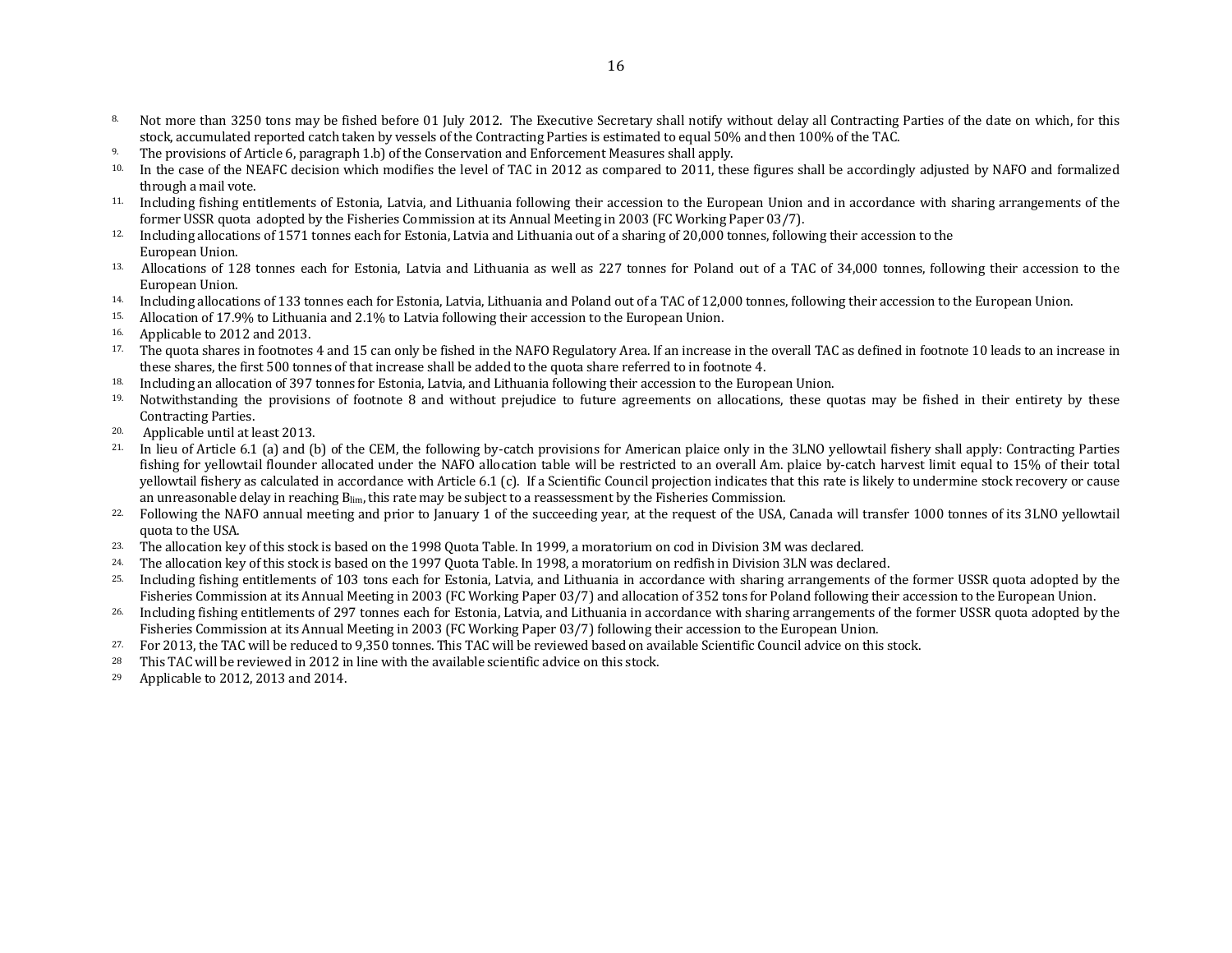- 8. Not more than 3250 tons may be fished before 01 July 2012. The Executive Secretary shall notify without delay all Contracting Parties of the date on which, for this stock, accumulated reported catch taken by vessels of the Contracting Parties is estimated to equal 50% and then 100% of the TAC.
- <sup>9.</sup> The provisions of Article 6, paragraph 1.b) of the Conservation and Enforcement Measures shall apply.
- <sup>10.</sup> In the case of the NEAFC decision which modifies the level of TAC in 2012 as compared to 2011, these figures shall be accordingly adjusted by NAFO and formalized through a mail vote.
- 11. Including fishing entitlements of Estonia, Latvia, and Lithuania following their accession to the European Union and in accordance with sharing arrangements of the former USSR quota adopted by the Fisheries Commission at its Annual Meeting in 2003 (FC Working Paper 03/7).
- 12. Including allocations of 1571 tonnes each for Estonia, Latvia and Lithuania out of a sharing of 20,000 tonnes, following their accession to the European Union.
- <sup>13.</sup> Allocations of 128 tonnes each for Estonia, Latvia and Lithuania as well as 227 tonnes for Poland out of a TAC of 34,000 tonnes, following their accession to the European Union.
- 14. Including allocations of 133 tonnes each for Estonia, Latvia, Lithuania and Poland out of a TAC of 12,000 tonnes, following their accession to the European Union.
- 15. Allocation of 17.9% to Lithuania and 2.1% to Latvia following their accession to the European Union.
- 16. Applicable to 2012 and 2013.
- 17. The quota shares in footnotes 4 and 15 can only be fished in the NAFO Regulatory Area. If an increase in the overall TAC as defined in footnote 10 leads to an increase in these shares, the first 500 tonnes of that increase shall be added to the quota share referred to in footnote 4.
- <sup>18.</sup> Including an allocation of 397 tonnes for Estonia, Latvia, and Lithuania following their accession to the European Union.
- <sup>19.</sup> Notwithstanding the provisions of footnote 8 and without prejudice to future agreements on allocations, these quotas may be fished in their entirety by these Contracting Parties.
- 20. Applicable until at least 2013.
- 21. In lieu of Article 6.1 (a) and (b) of the CEM, the following by-catch provisions for American plaice only in the 3LNO yellowtail fishery shall apply: Contracting Parties fishing for yellowtail flounder allocated under the NAFO allocation table will be restricted to an overall Am. plaice by-catch harvest limit equal to 15% of their total yellowtail fishery as calculated in accordance with Article 6.1 (c). If a Scientific Council projection indicates that this rate is likely to undermine stock recovery or cause an unreasonable delay in reaching  $B_{lim}$ , this rate may be subject to a reassessment by the Fisheries Commission.
- <sup>22.</sup> Following the NAFO annual meeting and prior to January 1 of the succeeding year, at the request of the USA, Canada will transfer 1000 tonnes of its 3LNO yellowtail quota to the USA.
- 23. The allocation key of this stock is based on the 1998 Quota Table. In 1999, a moratorium on cod in Division 3M was declared.
- 24. The allocation key of this stock is based on the 1997 Quota Table. In 1998, a moratorium on redfish in Division 3LN was declared.
- 25. Including fishing entitlements of 103 tons each for Estonia, Latvia, and Lithuania in accordance with sharing arrangements of the former USSR quota adopted by the Fisheries Commission at its Annual Meeting in 2003 (FC Working Paper 03/7) and allocation of 352 tons for Poland following their accession to the European Union.
- <sup>26.</sup> Including fishing entitlements of 297 tonnes each for Estonia, Latvia, and Lithuania in accordance with sharing arrangements of the former USSR quota adopted by the Fisheries Commission at its Annual Meeting in 2003 (FC Working Paper 03/7) following their accession to the European Union.
- 27. For 2013, the TAC will be reduced to 9,350 tonnes. This TAC will be reviewed based on available Scientific Council advice on this stock.
- <sup>28</sup> This TAC will be reviewed in 2012 in line with the available scientific advice on this stock.
- <sup>29</sup> Applicable to 2012, 2013 and 2014.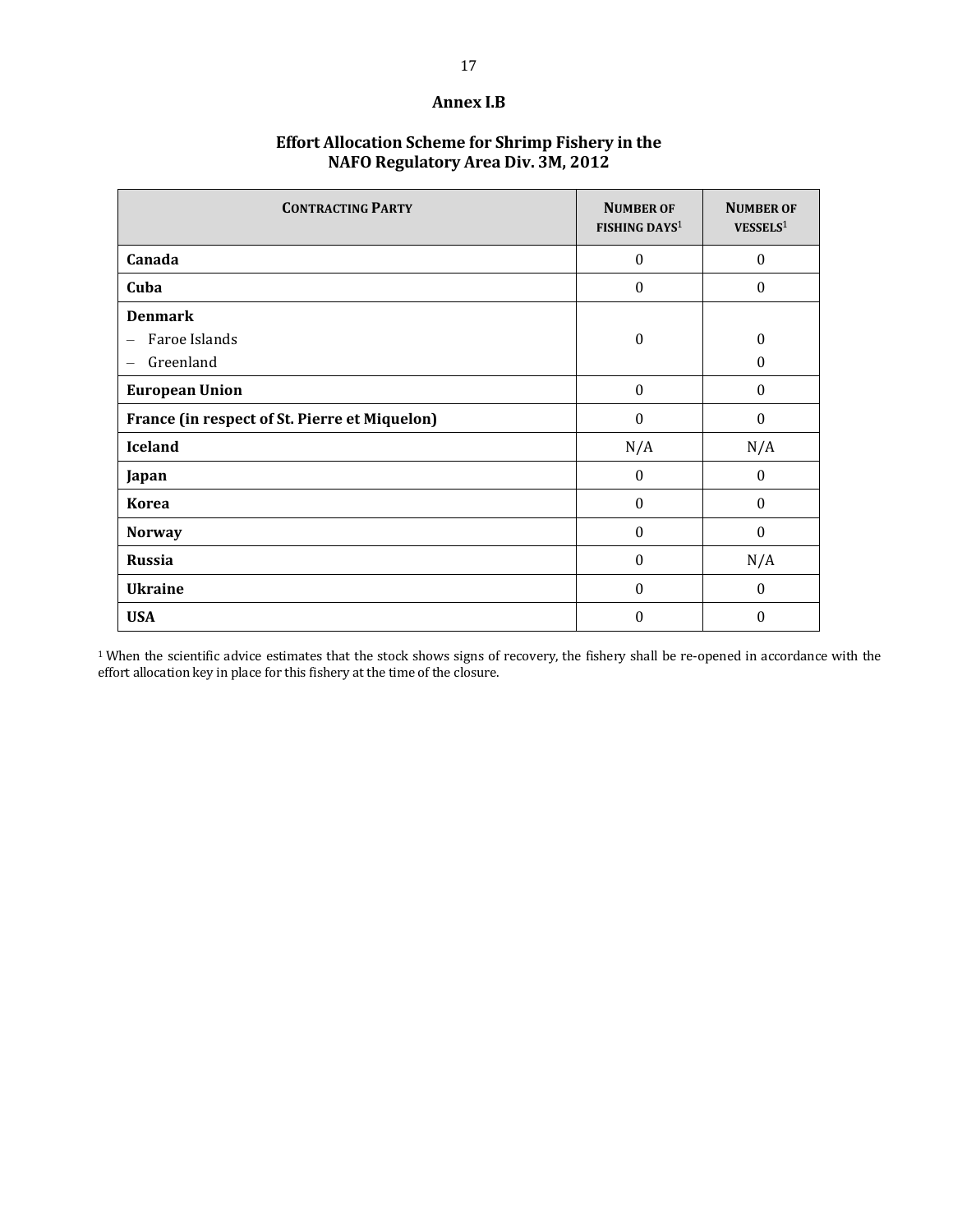#### **Annex I.B**

# **Effort Allocation Scheme for Shrimp Fishery in the NAFO Regulatory Area Div. 3M, 2012**

| <b>CONTRACTING PARTY</b>                               | <b>NUMBER OF</b><br><b>FISHING DAYS1</b> | <b>NUMBER OF</b><br>VESSELS <sup>1</sup> |
|--------------------------------------------------------|------------------------------------------|------------------------------------------|
| Canada                                                 | $\mathbf{0}$                             | $\boldsymbol{0}$                         |
| Cuba                                                   | $\boldsymbol{0}$                         | $\theta$                                 |
| <b>Denmark</b><br>Faroe Islands<br>—<br>Greenland<br>— | $\boldsymbol{0}$                         | $\mathbf{0}$<br>$\theta$                 |
| <b>European Union</b>                                  | $\boldsymbol{0}$                         | $\boldsymbol{0}$                         |
| France (in respect of St. Pierre et Miquelon)          | $\Omega$                                 | $\theta$                                 |
| <b>Iceland</b>                                         | N/A                                      | N/A                                      |
| Japan                                                  | $\theta$                                 | $\theta$                                 |
| <b>Korea</b>                                           | $\boldsymbol{0}$                         | $\mathbf{0}$                             |
| <b>Norway</b>                                          | $\boldsymbol{0}$                         | $\boldsymbol{0}$                         |
| <b>Russia</b>                                          | $\mathbf{0}$                             | N/A                                      |
| <b>Ukraine</b>                                         | $\boldsymbol{0}$                         | $\theta$                                 |
| <b>USA</b>                                             | $\boldsymbol{0}$                         | $\mathbf{0}$                             |

<sup>1</sup> When the scientific advice estimates that the stock shows signs of recovery, the fishery shall be re-opened in accordance with the effort allocation key in place for this fishery at the time of the closure.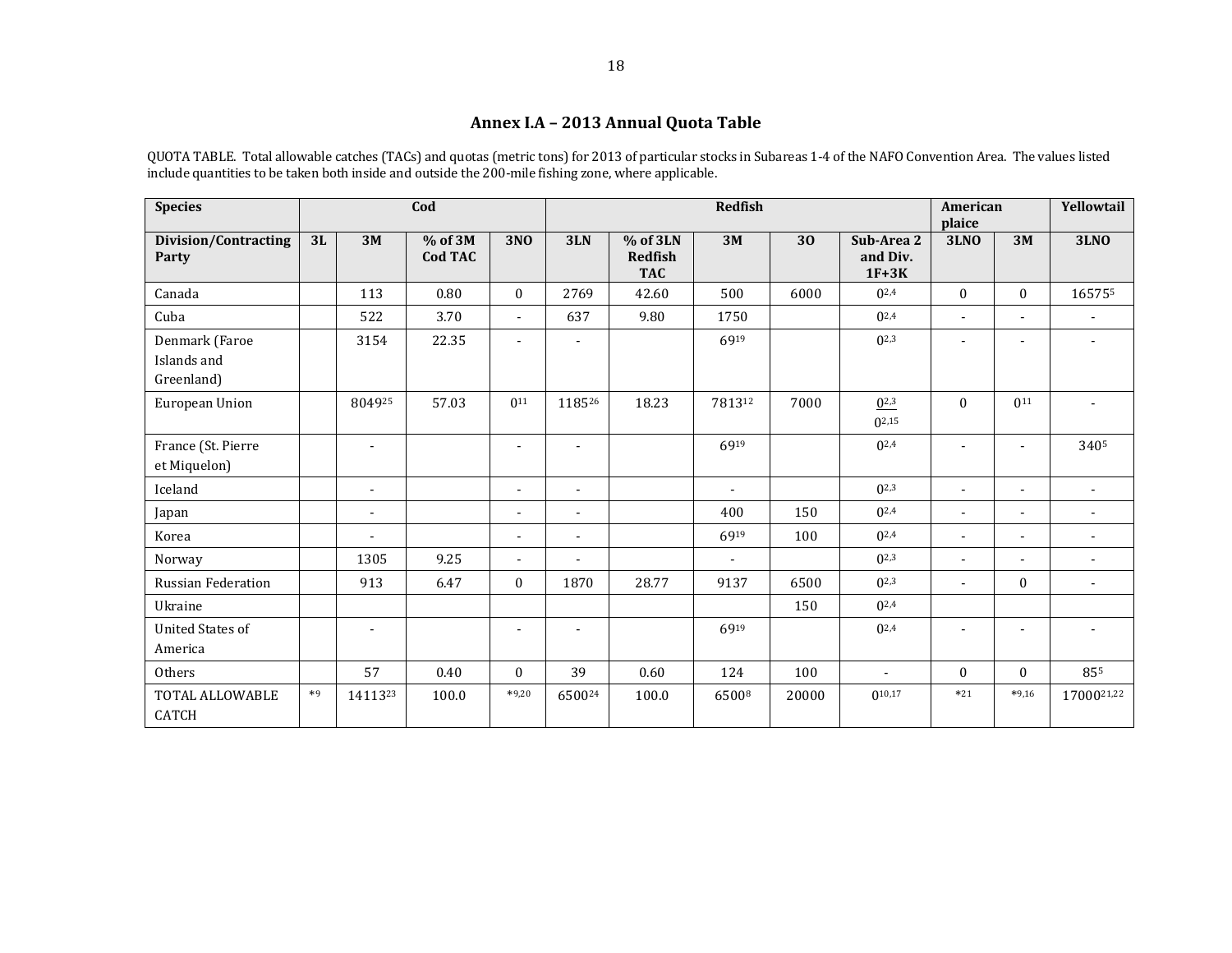# **Annex I.A – 2013 Annual Quota Table**

QUOTA TABLE. Total allowable catches (TACs) and quotas (metric tons) for 2013 of particular stocks in Subareas 1-4 of the NAFO Convention Area. The values listed include quantities to be taken both inside and outside the 200-mile fishing zone, where applicable.

| <b>Species</b>                              |      |                | Cod                         |                          |                          | <b>Redfish</b>                           |        |       |                                   |                |                          | Yellowtail               |
|---------------------------------------------|------|----------------|-----------------------------|--------------------------|--------------------------|------------------------------------------|--------|-------|-----------------------------------|----------------|--------------------------|--------------------------|
| <b>Division/Contracting</b><br>Party        | 3L   | 3M             | $%$ of 3M<br><b>Cod TAC</b> | <b>3NO</b>               | 3LN                      | % of 3LN<br><b>Redfish</b><br><b>TAC</b> | 3M     | 30    | Sub-Area 2<br>and Div.<br>$1F+3K$ | <b>3LNO</b>    | 3M                       | <b>3LNO</b>              |
| Canada                                      |      | 113            | 0.80                        | $\mathbf{0}$             | 2769                     | 42.60                                    | 500    | 6000  | $0^{2,4}$                         | $\Omega$       | $\mathbf{0}$             | 165755                   |
| Cuba                                        |      | 522            | 3.70                        | $\overline{\phantom{a}}$ | 637                      | 9.80                                     | 1750   |       | $0^{2,4}$                         | $\blacksquare$ | $\blacksquare$           |                          |
| Denmark (Faroe<br>Islands and<br>Greenland) |      | 3154           | 22.35                       | $\blacksquare$           | $\overline{\phantom{a}}$ |                                          | 6919   |       | $0^{2,3}$                         |                | $\overline{\phantom{a}}$ | $\blacksquare$           |
| European Union                              |      | 804925         | 57.03                       | 0 <sup>11</sup>          | 118526                   | 18.23                                    | 781312 | 7000  | $0^{2,3}$<br>$0^{2,15}$           | $\Omega$       | $0^{11}$                 |                          |
| France (St. Pierre<br>et Miquelon)          |      | $\blacksquare$ |                             | $\overline{\phantom{a}}$ | $\overline{\phantom{a}}$ |                                          | 6919   |       | $0^{2,4}$                         |                | $\blacksquare$           | 3405                     |
| Iceland                                     |      | $\blacksquare$ |                             | $\blacksquare$           | $\blacksquare$           |                                          | $\sim$ |       | $0^{2,3}$                         | $\blacksquare$ | $\blacksquare$           | $\blacksquare$           |
| Japan                                       |      | $\sim$         |                             | $\blacksquare$           | $\blacksquare$           |                                          | 400    | 150   | $0^{2,4}$                         | $\blacksquare$ | $\blacksquare$           | $\overline{\phantom{a}}$ |
| Korea                                       |      | $\overline{a}$ |                             | $\blacksquare$           | $\blacksquare$           |                                          | 6919   | 100   | $0^{2,4}$                         | $\overline{a}$ | $\blacksquare$           | $\overline{a}$           |
| Norway                                      |      | 1305           | 9.25                        | $\overline{a}$           | ÷                        |                                          |        |       | $0^{2,3}$                         | ÷              | $\overline{a}$           |                          |
| <b>Russian Federation</b>                   |      | 913            | 6.47                        | $\mathbf{0}$             | 1870                     | 28.77                                    | 9137   | 6500  | $0^{2,3}$                         | $\blacksquare$ | $\mathbf{0}$             | $\overline{\phantom{a}}$ |
| Ukraine                                     |      |                |                             |                          |                          |                                          |        | 150   | $0^{2,4}$                         |                |                          |                          |
| <b>United States of</b><br>America          |      | $\blacksquare$ |                             | $\blacksquare$           | $\overline{\phantom{a}}$ |                                          | 6919   |       | $0^{2,4}$                         |                | ÷                        |                          |
| Others                                      |      | 57             | 0.40                        | $\mathbf{0}$             | 39                       | 0.60                                     | 124    | 100   | ٠                                 | $\mathbf{0}$   | $\mathbf{0}$             | 855                      |
| TOTAL ALLOWABLE<br><b>CATCH</b>             | $*9$ | 1411323        | 100.0                       | $*9,20$                  | 650024                   | 100.0                                    | 65008  | 20000 | $0^{10,17}$                       | $*21$          | $*9,16$                  | 1700021,22               |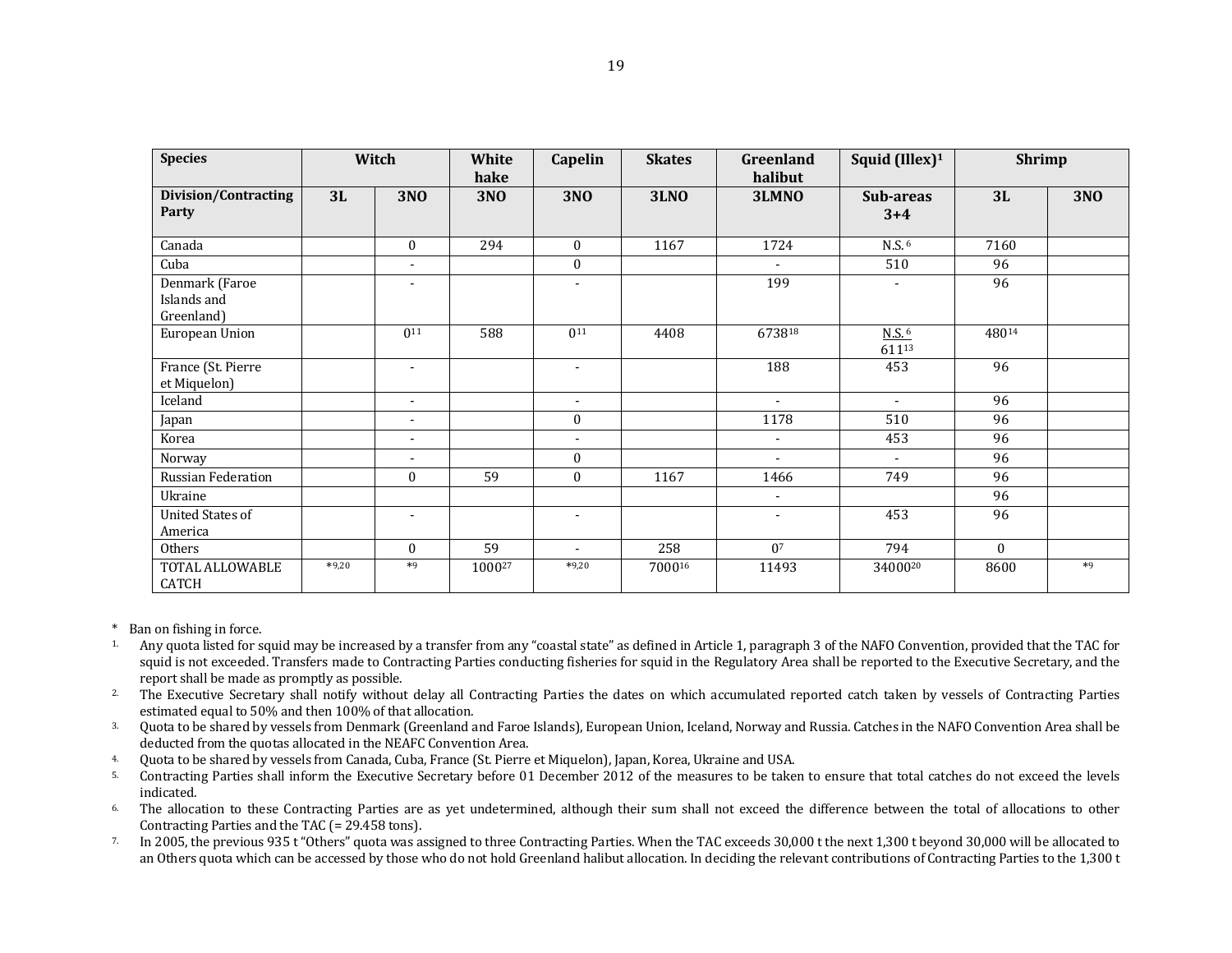| <b>Species</b>                              |         | Witch                    | White<br>hake | <b>Capelin</b>           | <b>Skates</b> | Greenland<br>halibut     | Squid (Illex) <sup>1</sup>        | <b>Shrimp</b> |            |
|---------------------------------------------|---------|--------------------------|---------------|--------------------------|---------------|--------------------------|-----------------------------------|---------------|------------|
| <b>Division/Contracting</b><br>Party        | 3L      | <b>3NO</b>               | <b>3NO</b>    | <b>3NO</b>               | <b>3LNO</b>   | 3LMNO                    | Sub-areas<br>$3 + 4$              | 3L            | <b>3NO</b> |
| Canada                                      |         | $\mathbf{0}$             | 294           | $\overline{0}$           | 1167          | 1724                     | N.S. <sup>6</sup>                 | 7160          |            |
| Cuba                                        |         | $\overline{\phantom{a}}$ |               | $\mathbf{0}$             |               | $\overline{\phantom{a}}$ | 510                               | 96            |            |
| Denmark (Faroe<br>Islands and<br>Greenland) |         |                          |               |                          |               | 199                      |                                   | 96            |            |
| European Union                              |         | $0^{11}$                 | 588           | $0^{11}$                 | 4408          | 673818                   | $N.S.$ <sup>6</sup><br>$611^{13}$ | 48014         |            |
| France (St. Pierre<br>et Miquelon)          |         | $\overline{\phantom{a}}$ |               |                          |               | 188                      | 453                               | 96            |            |
| Iceland                                     |         | $\sim$                   |               | $\overline{\phantom{0}}$ |               | $\overline{a}$           | $\sim$                            | 96            |            |
| Japan                                       |         | $\blacksquare$           |               | $\mathbf{0}$             |               | 1178                     | 510                               | 96            |            |
| Korea                                       |         | $\overline{\phantom{a}}$ |               | $\overline{\phantom{a}}$ |               | $\overline{\phantom{a}}$ | 453                               | 96            |            |
| Norway                                      |         | $\overline{\phantom{a}}$ |               | $\mathbf{0}$             |               | $\blacksquare$           | $\blacksquare$                    | 96            |            |
| Russian Federation                          |         | $\mathbf{0}$             | 59            | $\mathbf{0}$             | 1167          | 1466                     | 749                               | 96            |            |
| Ukraine                                     |         |                          |               |                          |               | $\overline{\phantom{a}}$ |                                   | 96            |            |
| <b>United States of</b><br>America          |         |                          |               | $\overline{\phantom{a}}$ |               | $\overline{\phantom{a}}$ | 453                               | 96            |            |
| Others                                      |         | $\mathbf{0}$             | 59            | $\sim$                   | 258           | 0 <sup>7</sup>           | 794                               | $\theta$      |            |
| TOTAL ALLOWABLE<br>CATCH                    | $*9,20$ | $*9$                     | 100027        | $*9,20$                  | 700016        | 11493                    | 3400020                           | 8600          | $*9$       |

- \* Ban on fishing in force.
- <sup>1</sup>. Any quota listed for squid may be increased by a transfer from any "coastal state" as defined in Article 1, paragraph 3 of the NAFO Convention, provided that the TAC for squid is not exceeded. Transfers made to Contracting Parties conducting fisheries for squid in the Regulatory Area shall be reported to the Executive Secretary, and the report shall be made as promptly as possible.
- <sup>2</sup>. The Executive Secretary shall notify without delay all Contracting Parties the dates on which accumulated reported catch taken by vessels of Contracting Parties estimated equal to 50% and then 100% of that allocation.
- 3. Quota to be shared by vessels from Denmark (Greenland and Faroe Islands), European Union, Iceland, Norway and Russia. Catches in the NAFO Convention Area shall be deducted from the quotas allocated in the NEAFC Convention Area.
- 4. Quota to be shared by vessels from Canada, Cuba, France (St. Pierre et Miquelon), Japan, Korea, Ukraine and USA.
- 5. Contracting Parties shall inform the Executive Secretary before 01 December 2012 of the measures to be taken to ensure that total catches do not exceed the levels indicated.
- <sup>6</sup> The allocation to these Contracting Parties are as yet undetermined, although their sum shall not exceed the difference between the total of allocations to other Contracting Parties and the TAC (= 29.458 tons).
- <sup>7.</sup> In 2005, the previous 935 t "Others" quota was assigned to three Contracting Parties. When the TAC exceeds 30,000 t the next 1,300 t beyond 30,000 will be allocated to an Others quota which can be accessed by those who do not hold Greenland halibut allocation. In deciding the relevant contributions of Contracting Parties to the 1,300 t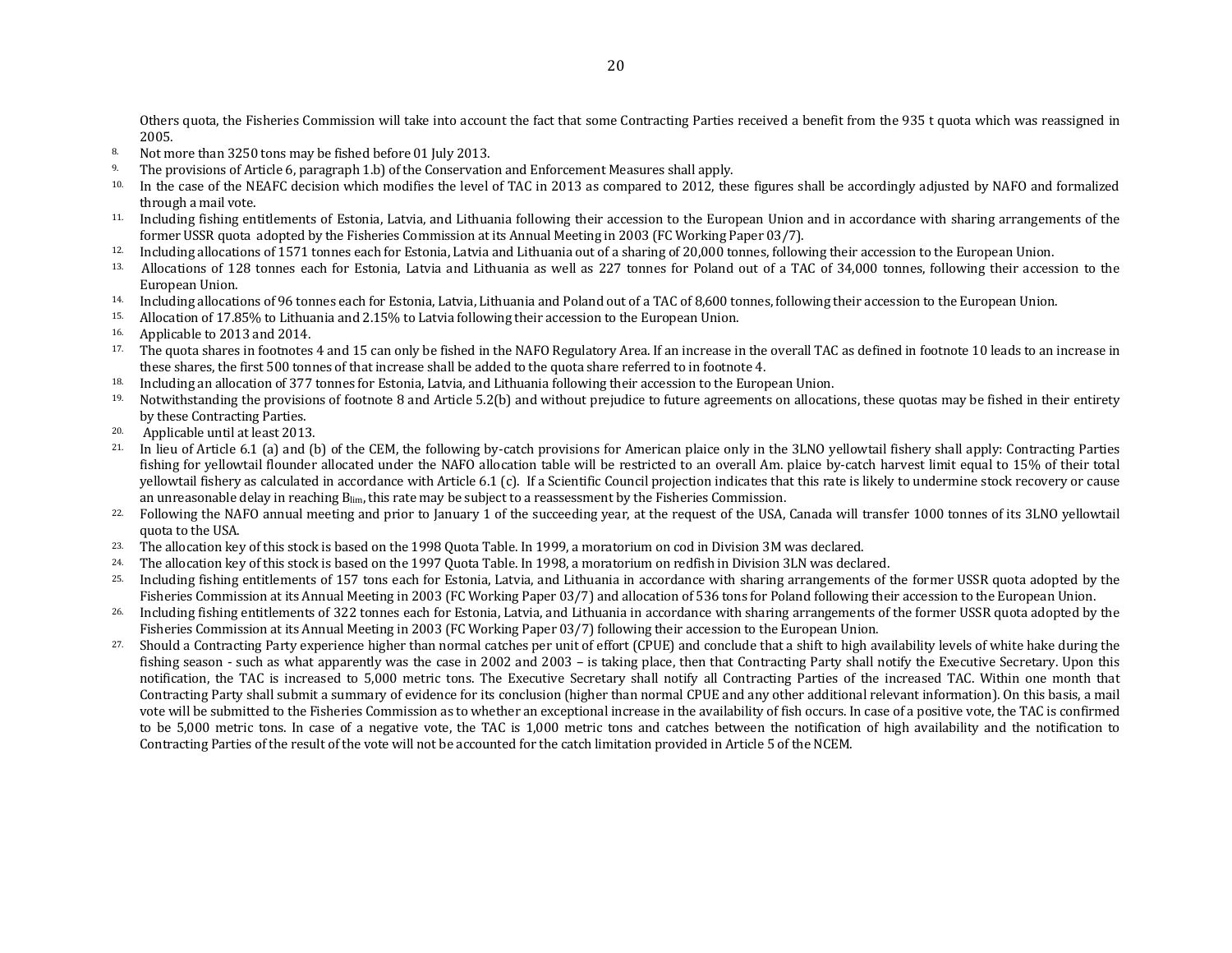Others quota, the Fisheries Commission will take into account the fact that some Contracting Parties received a benefit from the 935 t quota which was reassigned in 2005.

- 8. Not more than 3250 tons may be fished before 01 July 2013.
- <sup>9.</sup> The provisions of Article 6, paragraph 1.b) of the Conservation and Enforcement Measures shall apply.
- <sup>10.</sup> In the case of the NEAFC decision which modifies the level of TAC in 2013 as compared to 2012, these figures shall be accordingly adjusted by NAFO and formalized through a mail vote.
- 11. Including fishing entitlements of Estonia, Latvia, and Lithuania following their accession to the European Union and in accordance with sharing arrangements of the former USSR quota adopted by the Fisheries Commission at its Annual Meeting in 2003 (FC Working Paper 03/7).
- 12. Including allocations of 1571 tonnes each for Estonia, Latvia and Lithuania out of a sharing of 20,000 tonnes, following their accession to the European Union.
- <sup>13.</sup> Allocations of 128 tonnes each for Estonia, Latvia and Lithuania as well as 227 tonnes for Poland out of a TAC of 34,000 tonnes, following their accession to the European Union.
- <sup>14.</sup> Including allocations of 96 tonnes each for Estonia, Latvia, Lithuania and Poland out of a TAC of 8,600 tonnes, following their accession to the European Union.
- 15. Allocation of 17.85% to Lithuania and 2.15% to Latvia following their accession to the European Union.
- 16. Applicable to 2013 and 2014.
- <sup>17.</sup> The quota shares in footnotes 4 and 15 can only be fished in the NAFO Regulatory Area. If an increase in the overall TAC as defined in footnote 10 leads to an increase in these shares, the first 500 tonnes of that increase shall be added to the quota share referred to in footnote 4.
- <sup>18.</sup> Including an allocation of 377 tonnes for Estonia, Latvia, and Lithuania following their accession to the European Union.
- <sup>19.</sup> Notwithstanding the provisions of footnote 8 and Article 5.2(b) and without prejudice to future agreements on allocations, these quotas may be fished in their entirety by these Contracting Parties.
- 20. Applicable until at least 2013.
- 21. In lieu of Article 6.1 (a) and (b) of the CEM, the following by-catch provisions for American plaice only in the 3LNO yellowtail fishery shall apply: Contracting Parties fishing for yellowtail flounder allocated under the NAFO allocation table will be restricted to an overall Am. plaice by-catch harvest limit equal to 15% of their total yellowtail fishery as calculated in accordance with Article 6.1 (c). If a Scientific Council projection indicates that this rate is likely to undermine stock recovery or cause an unreasonable delay in reaching  $B_{lim}$ , this rate may be subject to a reassessment by the Fisheries Commission.
- <sup>22.</sup> Following the NAFO annual meeting and prior to January 1 of the succeeding year, at the request of the USA, Canada will transfer 1000 tonnes of its 3LNO yellowtail quota to the USA.
- 23. The allocation key of this stock is based on the 1998 Quota Table. In 1999, a moratorium on cod in Division 3M was declared.
- 24. The allocation key of this stock is based on the 1997 Quota Table. In 1998, a moratorium on redfish in Division 3LN was declared.
- 25. Including fishing entitlements of 157 tons each for Estonia, Latvia, and Lithuania in accordance with sharing arrangements of the former USSR quota adopted by the Fisheries Commission at its Annual Meeting in 2003 (FC Working Paper 03/7) and allocation of 536 tons for Poland following their accession to the European Union.
- <sup>26.</sup> Including fishing entitlements of 322 tonnes each for Estonia, Latvia, and Lithuania in accordance with sharing arrangements of the former USSR quota adopted by the Fisheries Commission at its Annual Meeting in 2003 (FC Working Paper 03/7) following their accession to the European Union.
- 27. Should a Contracting Party experience higher than normal catches per unit of effort (CPUE) and conclude that a shift to high availability levels of white hake during the fishing season - such as what apparently was the case in 2002 and 2003 – is taking place, then that Contracting Party shall notify the Executive Secretary. Upon this notification, the TAC is increased to 5,000 metric tons. The Executive Secretary shall notify all Contracting Parties of the increased TAC. Within one month that Contracting Party shall submit a summary of evidence for its conclusion (higher than normal CPUE and any other additional relevant information). On this basis, a mail vote will be submitted to the Fisheries Commission as to whether an exceptional increase in the availability of fish occurs. In case of a positive vote, the TAC is confirmed to be 5,000 metric tons. In case of a negative vote, the TAC is 1,000 metric tons and catches between the notification of high availability and the notification to Contracting Parties of the result of the vote will not be accounted for the catch limitation provided in Article 5 of the NCEM.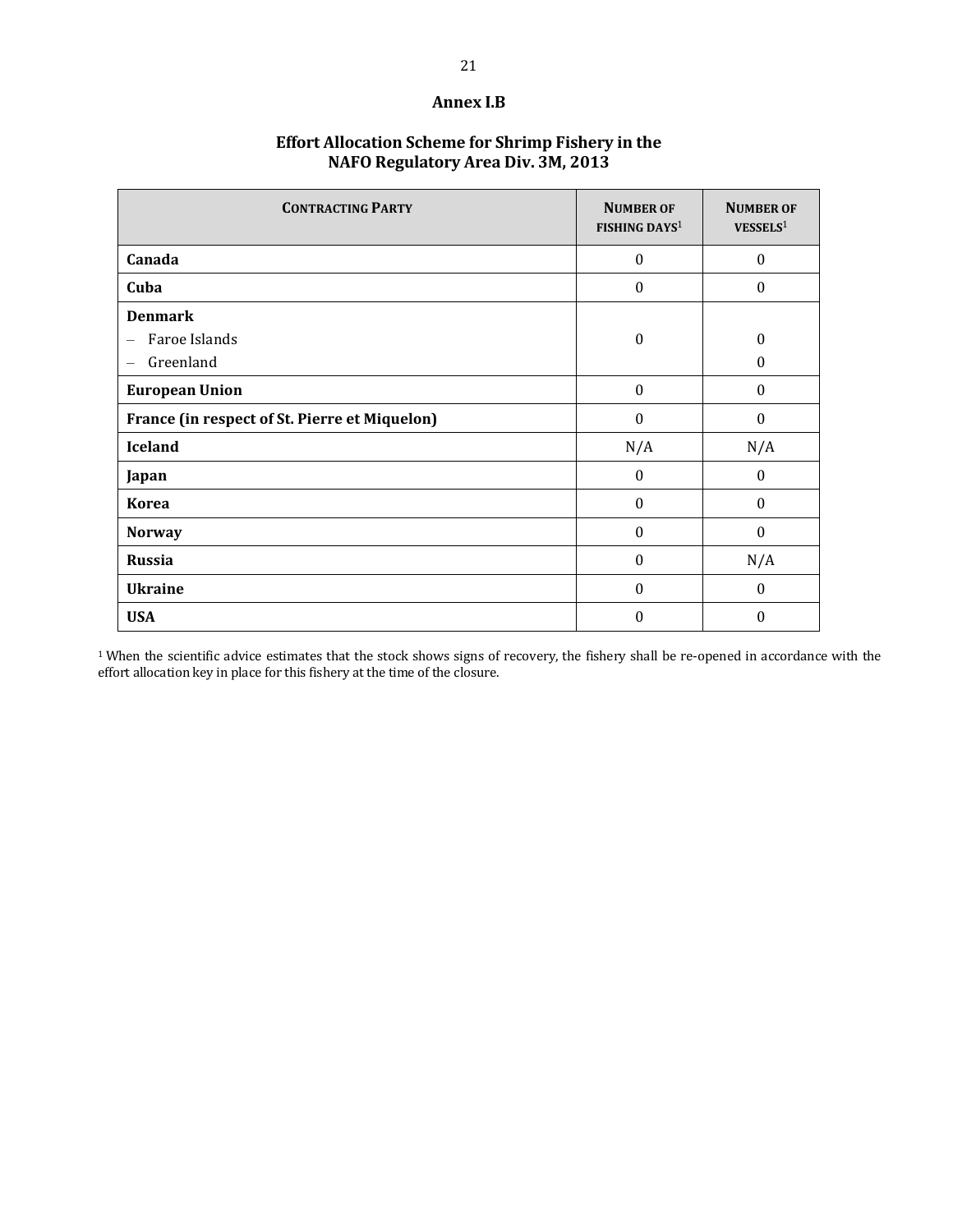#### **Annex I.B**

# **Effort Allocation Scheme for Shrimp Fishery in the NAFO Regulatory Area Div. 3M, 2013**

| <b>CONTRACTING PARTY</b>                          | <b>NUMBER OF</b><br><b>FISHING DAYS</b> <sup>1</sup> | <b>NUMBER OF</b><br>VESSELS <sup>1</sup> |
|---------------------------------------------------|------------------------------------------------------|------------------------------------------|
| Canada                                            | $\mathbf{0}$                                         | $\boldsymbol{0}$                         |
| Cuba                                              | $\theta$                                             | $\theta$                                 |
| <b>Denmark</b><br>Faroe Islands<br>—<br>Greenland | $\boldsymbol{0}$                                     | 0<br>$\boldsymbol{0}$                    |
| <b>European Union</b>                             | $\boldsymbol{0}$                                     | $\mathbf{0}$                             |
| France (in respect of St. Pierre et Miquelon)     | $\Omega$                                             | $\theta$                                 |
| <b>Iceland</b>                                    | N/A                                                  | N/A                                      |
| Japan                                             | $\mathbf{0}$                                         | $\boldsymbol{0}$                         |
| <b>Korea</b>                                      | $\mathbf{0}$                                         | $\mathbf{0}$                             |
| <b>Norway</b>                                     | $\theta$                                             | $\boldsymbol{0}$                         |
| <b>Russia</b>                                     | $\Omega$                                             | N/A                                      |
| <b>Ukraine</b>                                    | $\Omega$                                             | $\theta$                                 |
| <b>USA</b>                                        | $\boldsymbol{0}$                                     | $\theta$                                 |

<sup>1</sup> When the scientific advice estimates that the stock shows signs of recovery, the fishery shall be re-opened in accordance with the effort allocation key in place for this fishery at the time of the closure.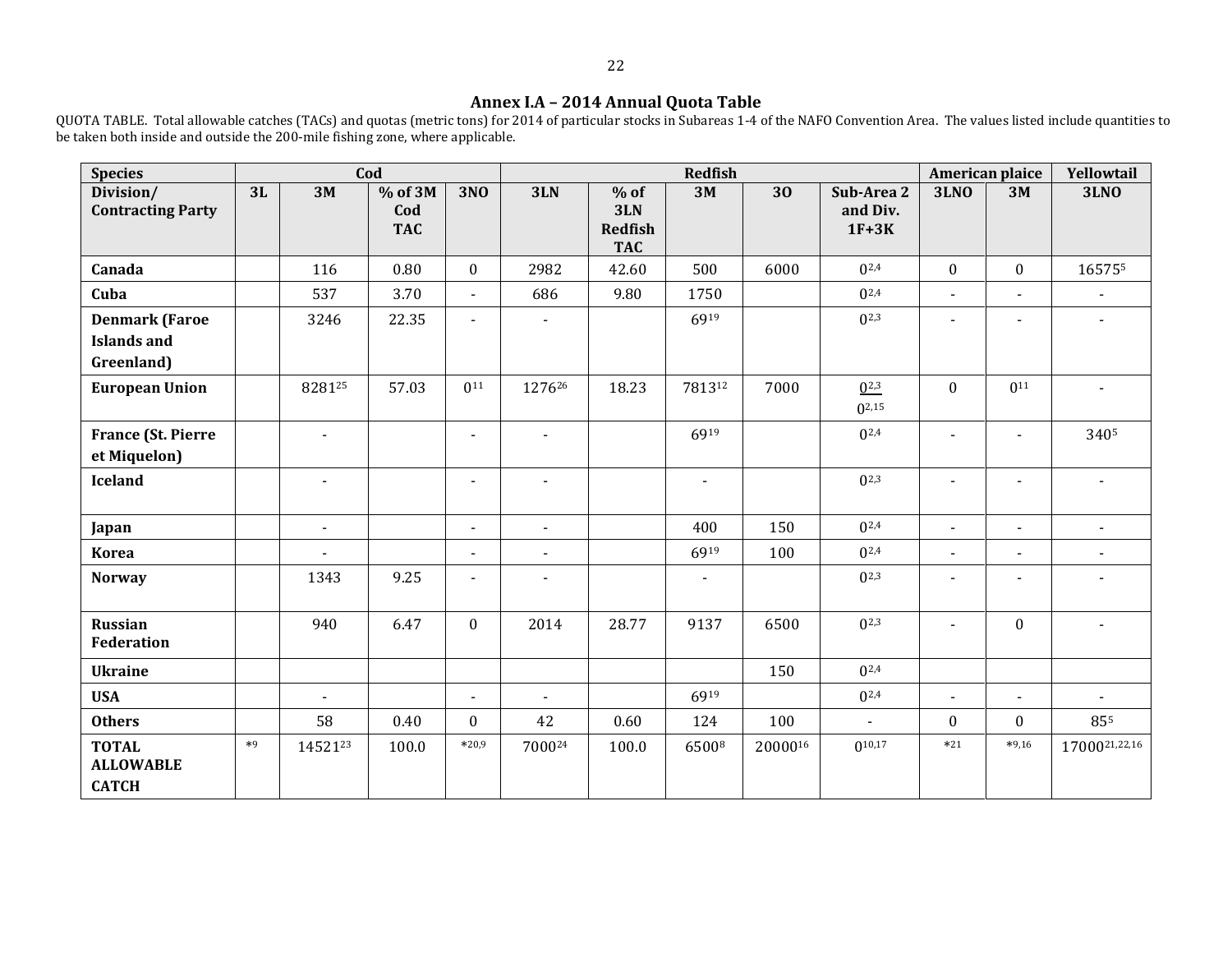#### **Annex I.A – 2014 Annual Quota Table**

QUOTA TABLE. Total allowable catches (TACs) and quotas (metric tons) for 2014 of particular stocks in Subareas 1-4 of the NAFO Convention Area. The values listed include quantities to be taken both inside and outside the 200-mile fishing zone, where applicable.

| <b>Species</b>                                            |      |                | Cod                            |                |                          |                                               | <b>Redfish</b> |         |                                   |                          | American plaice          | Yellowtail     |
|-----------------------------------------------------------|------|----------------|--------------------------------|----------------|--------------------------|-----------------------------------------------|----------------|---------|-----------------------------------|--------------------------|--------------------------|----------------|
| Division/<br><b>Contracting Party</b>                     | 3L   | 3M             | $%$ of 3M<br>Cod<br><b>TAC</b> | <b>3NO</b>     | 3LN                      | $%$ of<br>3LN<br><b>Redfish</b><br><b>TAC</b> | 3M             | 30      | Sub-Area 2<br>and Div.<br>$1F+3K$ | <b>3LNO</b>              | 3M                       | <b>3LNO</b>    |
| Canada                                                    |      | 116            | 0.80                           | $\mathbf{0}$   | 2982                     | 42.60                                         | 500            | 6000    | $0^{2,4}$                         | $\mathbf{0}$             | $\mathbf{0}$             | 165755         |
| Cuba                                                      |      | 537            | 3.70                           | $\blacksquare$ | 686                      | 9.80                                          | 1750           |         | $0^{2,4}$                         | $\blacksquare$           | $\blacksquare$           |                |
| <b>Denmark (Faroe</b><br><b>Islands and</b><br>Greenland) |      | 3246           | 22.35                          | $\blacksquare$ | $\blacksquare$           |                                               | 6919           |         | $0^{2,3}$                         | $\blacksquare$           | $\overline{\phantom{a}}$ | $\blacksquare$ |
| <b>European Union</b>                                     |      | 828125         | 57.03                          | $0^{11}$       | 127626                   | 18.23                                         | 781312         | 7000    | $0^{2,3}$<br>$0^{2,15}$           | $\theta$                 | $0^{11}$                 | $\blacksquare$ |
| <b>France (St. Pierre</b><br>et Miquelon)                 |      | $\sim$         |                                | $\blacksquare$ | $\blacksquare$           |                                               | 6919           |         | $0^{2,4}$                         | $\overline{a}$           | $\blacksquare$           | 3405           |
| <b>Iceland</b>                                            |      | $\blacksquare$ |                                | $\blacksquare$ | $\overline{\phantom{a}}$ |                                               | $\blacksquare$ |         | $0^{2,3}$                         | $\blacksquare$           | $\blacksquare$           | $\blacksquare$ |
| Japan                                                     |      | $\blacksquare$ |                                | $\blacksquare$ | $\blacksquare$           |                                               | 400            | 150     | $0^{2,4}$                         | $\blacksquare$           | $\blacksquare$           | $\blacksquare$ |
| <b>Korea</b>                                              |      |                |                                | $\blacksquare$ | $\overline{\phantom{a}}$ |                                               | 6919           | 100     | $0^{2,4}$                         | $\overline{\phantom{a}}$ |                          |                |
| <b>Norway</b>                                             |      | 1343           | 9.25                           | $\blacksquare$ | $\blacksquare$           |                                               | $\blacksquare$ |         | $0^{2,3}$                         | $\blacksquare$           | $\blacksquare$           |                |
| <b>Russian</b><br><b>Federation</b>                       |      | 940            | 6.47                           | $\bf{0}$       | 2014                     | 28.77                                         | 9137           | 6500    | $0^{2,3}$                         | $\blacksquare$           | $\bf{0}$                 | $\blacksquare$ |
| <b>Ukraine</b>                                            |      |                |                                |                |                          |                                               |                | 150     | $0^{2,4}$                         |                          |                          |                |
| <b>USA</b>                                                |      | $\blacksquare$ |                                | $\blacksquare$ | $\blacksquare$           |                                               | 6919           |         | $0^{2,4}$                         | $\blacksquare$           | $\blacksquare$           |                |
| <b>Others</b>                                             |      | 58             | 0.40                           | $\mathbf{0}$   | 42                       | 0.60                                          | 124            | 100     | $\omega$                          | $\mathbf{0}$             | $\mathbf{0}$             | 855            |
| <b>TOTAL</b><br><b>ALLOWABLE</b><br><b>CATCH</b>          | $*9$ | 1452123        | 100.0                          | $*20,9$        | 700024                   | 100.0                                         | 65008          | 2000016 | $0^{10,17}$                       | $*21$                    | $*9,16$                  | 1700021,22,16  |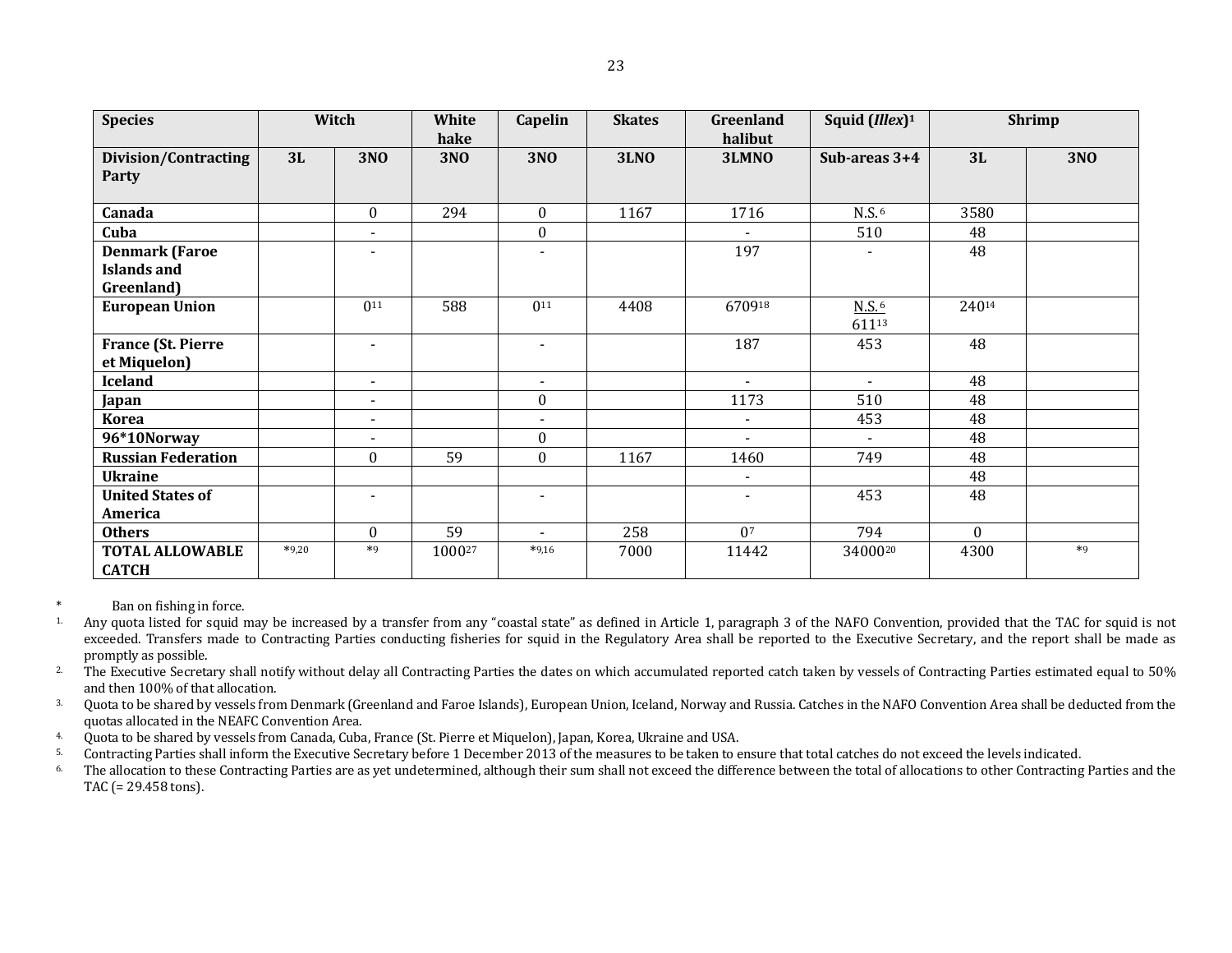| i<br>w<br>۰. |
|--------------|

| <b>Species</b>                                            |         | Witch                    | <b>White</b><br>hake | Capelin                  | <b>Skates</b> | Greenland<br>halibut | Squid (Illex) <sup>1</sup>   |          | <b>Shrimp</b> |
|-----------------------------------------------------------|---------|--------------------------|----------------------|--------------------------|---------------|----------------------|------------------------------|----------|---------------|
| <b>Division/Contracting</b><br><b>Party</b>               | 3L      | <b>3NO</b>               | <b>3NO</b>           | <b>3NO</b>               | <b>3LNO</b>   | 3LMNO                | Sub-areas 3+4                | 3L       | <b>3NO</b>    |
| Canada                                                    |         | $\mathbf{0}$             | 294                  | $\boldsymbol{0}$         | 1167          | 1716                 | N.S. <sup>6</sup>            | 3580     |               |
| Cuba                                                      |         | $\blacksquare$           |                      | $\boldsymbol{0}$         |               |                      | 510                          | 48       |               |
| <b>Denmark (Faroe</b><br><b>Islands and</b><br>Greenland) |         | $\overline{\phantom{a}}$ |                      | $\overline{\phantom{a}}$ |               | 197                  |                              | 48       |               |
| <b>European Union</b>                                     |         | $0^{11}$                 | 588                  | $0^{11}$                 | 4408          | 670918               | $N.S.$ <sup>6</sup><br>61113 | 24014    |               |
| <b>France (St. Pierre</b><br>et Miquelon)                 |         | $\blacksquare$           |                      | $\blacksquare$           |               | 187                  | 453                          | 48       |               |
| <b>Iceland</b>                                            |         | $\blacksquare$           |                      | $\blacksquare$           |               | $\sim$               | $\sim$                       | 48       |               |
| Japan                                                     |         | $\blacksquare$           |                      | $\boldsymbol{0}$         |               | 1173                 | 510                          | 48       |               |
| <b>Korea</b>                                              |         | $\blacksquare$           |                      | $\blacksquare$           |               | $\sim$               | 453                          | 48       |               |
| 96*10Norway                                               |         | $\blacksquare$           |                      | $\boldsymbol{0}$         |               | $\sim$               | $\blacksquare$               | 48       |               |
| <b>Russian Federation</b>                                 |         | $\mathbf{0}$             | 59                   | $\boldsymbol{0}$         | 1167          | 1460                 | 749                          | 48       |               |
| <b>Ukraine</b>                                            |         |                          |                      |                          |               | $\sim$               |                              | 48       |               |
| <b>United States of</b><br>America                        |         | $\overline{\phantom{a}}$ |                      | $\blacksquare$           |               | $\sim$               | 453                          | 48       |               |
| <b>Others</b>                                             |         | $\mathbf{0}$             | 59                   | $\blacksquare$           | 258           | 0 <sup>7</sup>       | 794                          | $\Omega$ |               |
| <b>TOTAL ALLOWABLE</b><br><b>CATCH</b>                    | $*9,20$ | $*9$                     | 100027               | $*9,16$                  | 7000          | 11442                | 3400020                      | 4300     | $*9$          |

\* Ban on fishing in force.

- <sup>1</sup>. Any quota listed for squid may be increased by a transfer from any "coastal state" as defined in Article 1, paragraph 3 of the NAFO Convention, provided that the TAC for squid is not exceeded. Transfers made to Contracting Parties conducting fisheries for squid in the Regulatory Area shall be reported to the Executive Secretary, and the report shall be made as promptly as possible.
- <sup>2</sup>. The Executive Secretary shall notify without delay all Contracting Parties the dates on which accumulated reported catch taken by vessels of Contracting Parties estimated equal to 50% and then 100% of that allocation.
- <sup>3</sup> Quota to be shared by vessels from Denmark (Greenland and Faroe Islands), European Union, Iceland, Norway and Russia. Catches in the NAFO Convention Area shall be deducted from the quotas allocated in the NEAFC Convention Area.
- 4. Quota to be shared by vessels from Canada, Cuba, France (St. Pierre et Miquelon), Japan, Korea, Ukraine and USA.<br>5. Contracting Parties shall inform the Executive Secretary before 1 December 2013 of the measures to be t
- 5. Contracting Parties shall inform the Executive Secretary before 1 December 2013 of the measures to be taken to ensure that total catches do not exceed the levels indicated.<br>The allocation to these Contracting Parties ar
- The allocation to these Contracting Parties are as yet undetermined, although their sum shall not exceed the difference between the total of allocations to other Contracting Parties and the TAC (= 29.458 tons).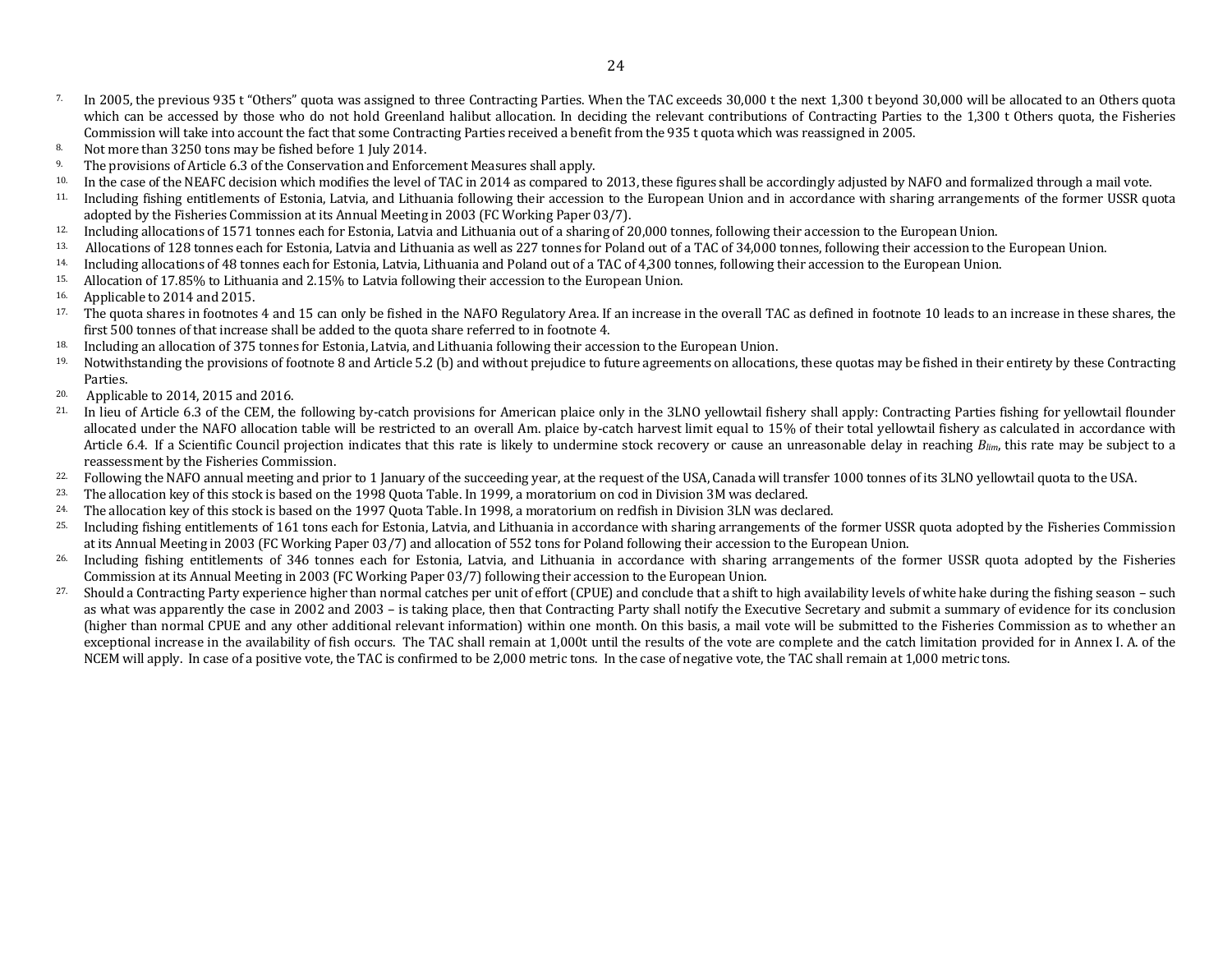- <sup>7.</sup> In 2005, the previous 935 t "Others" quota was assigned to three Contracting Parties. When the TAC exceeds 30,000 t the next 1,300 t beyond 30,000 will be allocated to an Others quota which can be accessed by those who do not hold Greenland halibut allocation. In deciding the relevant contributions of Contracting Parties to the 1,300 t Others quota, the Fisheries Commission will take into account the fact that some Contracting Parties received a benefit from the 935 t quota which was reassigned in 2005.
- 8. Not more than 3250 tons may be fished before 1 July 2014.
- <sup>9.</sup> The provisions of Article 6.3 of the Conservation and Enforcement Measures shall apply.
- <sup>10.</sup> In the case of the NEAFC decision which modifies the level of TAC in 2014 as compared to 2013, these figures shall be accordingly adjusted by NAFO and formalized through a mail vote.
- 11. Including fishing entitlements of Estonia, Latvia, and Lithuania following their accession to the European Union and in accordance with sharing arrangements of the former USSR quota adopted by the Fisheries Commission at its Annual Meeting in 2003 (FC Working Paper 03/7).
- 12. Including allocations of 1571 tonnes each for Estonia, Latvia and Lithuania out of a sharing of 20,000 tonnes, following their accession to the European Union.
- 13. Allocations of 128 tonnes each for Estonia, Latvia and Lithuania as well as 227 tonnes for Poland out of a TAC of 34,000 tonnes, following their accession to the European Union.
- 14. Including allocations of 48 tonnes each for Estonia, Latvia, Lithuania and Poland out of a TAC of 4,300 tonnes, following their accession to the European Union.
- 15. Allocation of 17.85% to Lithuania and 2.15% to Latvia following their accession to the European Union.
- 16. Applicable to 2014 and 2015.
- <sup>17.</sup> The quota shares in footnotes 4 and 15 can only be fished in the NAFO Regulatory Area. If an increase in the overall TAC as defined in footnote 10 leads to an increase in these shares, the first 500 tonnes of that increase shall be added to the quota share referred to in footnote 4.
- 18. Including an allocation of 375 tonnes for Estonia, Latvia, and Lithuania following their accession to the European Union.
- 19. Notwithstanding the provisions of footnote 8 and Article 5.2 (b) and without prejudice to future agreements on allocations, these quotas may be fished in their entirety by these Contracting Parties.
- 20. Applicable to 2014, 2015 and 2016.
- <sup>21.</sup> In lieu of Article 6.3 of the CEM, the following by-catch provisions for American plaice only in the 3LNO yellowtail fishery shall apply: Contracting Parties fishing for yellowtail flounder allocated under the NAFO allocation table will be restricted to an overall Am. plaice by-catch harvest limit equal to 15% of their total yellowtail fishery as calculated in accordance with Article 6.4. If a Scientific Council projection indicates that this rate is likely to undermine stock recovery or cause an unreasonable delay in reaching *Blim*, this rate may be subject to a reassessment by the Fisheries Commission.
- <sup>22.</sup> Following the NAFO annual meeting and prior to 1 January of the succeeding year, at the request of the USA, Canada will transfer 1000 tonnes of its 3LNO yellowtail quota to the USA.
- 23. The allocation key of this stock is based on the 1998 Quota Table. In 1999, a moratorium on cod in Division 3M was declared.
- 24. The allocation key of this stock is based on the 1997 Quota Table. In 1998, a moratorium on redfish in Division 3LN was declared.
- 25. Including fishing entitlements of 161 tons each for Estonia, Latvia, and Lithuania in accordance with sharing arrangements of the former USSR quota adopted by the Fisheries Commission at its Annual Meeting in 2003 (FC Working Paper 03/7) and allocation of 552 tons for Poland following their accession to the European Union.
- <sup>26.</sup> Including fishing entitlements of 346 tonnes each for Estonia, Latvia, and Lithuania in accordance with sharing arrangements of the former USSR quota adopted by the Fisheries Commission at its Annual Meeting in 2003 (FC Working Paper 03/7) following their accession to the European Union.
- 27. Should a Contracting Party experience higher than normal catches per unit of effort (CPUE) and conclude that a shift to high availability levels of white hake during the fishing season such as what was apparently the case in 2002 and 2003 – is taking place, then that Contracting Party shall notify the Executive Secretary and submit a summary of evidence for its conclusion (higher than normal CPUE and any other additional relevant information) within one month. On this basis, a mail vote will be submitted to the Fisheries Commission as to whether an exceptional increase in the availability of fish occurs. The TAC shall remain at 1,000t until the results of the vote are complete and the catch limitation provided for in Annex I. A. of the NCEM will apply. In case of a positive vote, the TAC is confirmed to be 2,000 metric tons. In the case of negative vote, the TAC shall remain at 1,000 metric tons.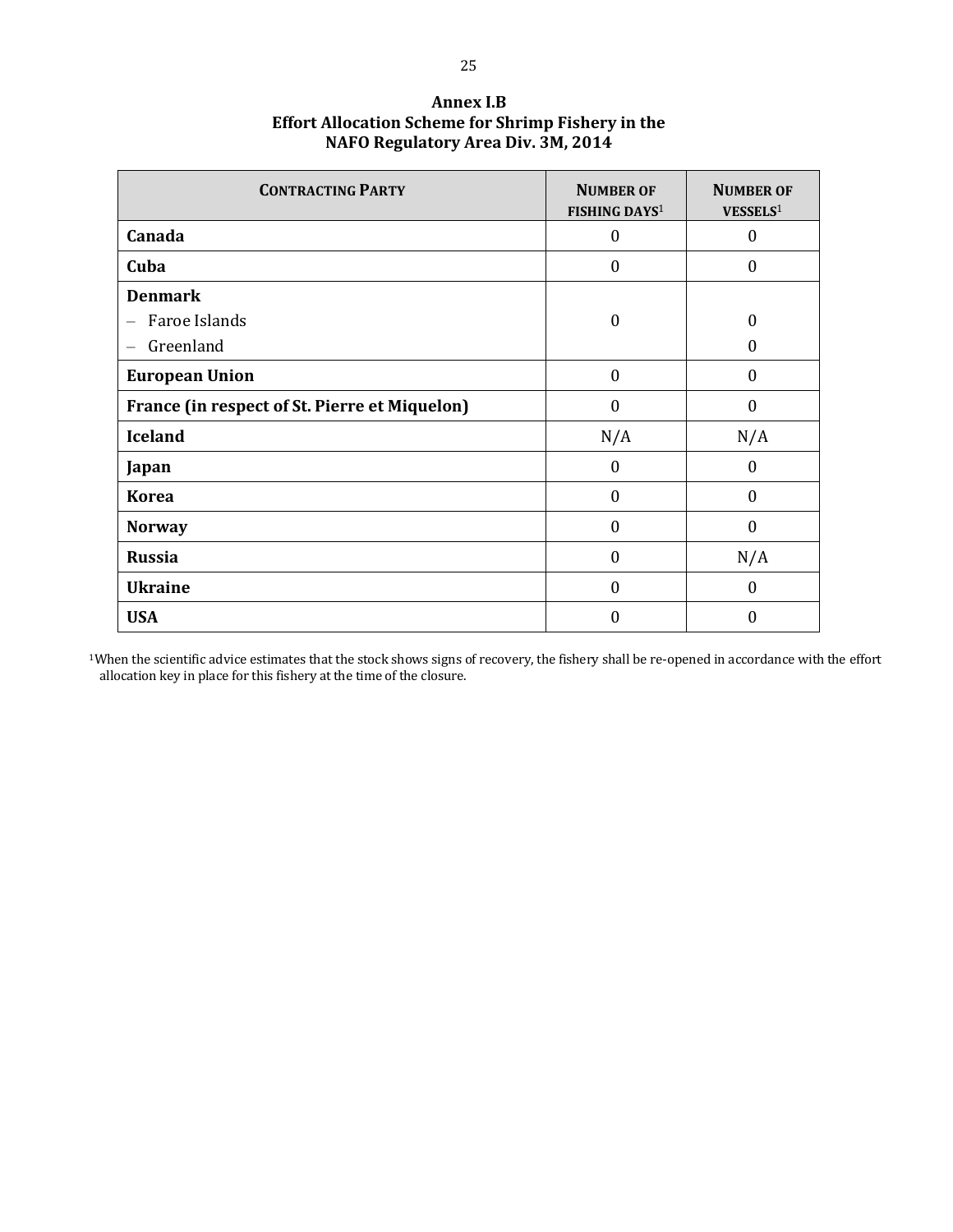| <b>CONTRACTING PARTY</b>                      | <b>NUMBER OF</b><br>FISHING DAYS <sup>1</sup> | <b>NUMBER OF</b><br>VESSELS <sup>1</sup> |
|-----------------------------------------------|-----------------------------------------------|------------------------------------------|
| Canada                                        | $\boldsymbol{0}$                              | $\boldsymbol{0}$                         |
| Cuba                                          | $\theta$                                      | $\theta$                                 |
| <b>Denmark</b>                                |                                               |                                          |
| Faroe Islands<br>$\overline{\phantom{0}}$     | $\boldsymbol{0}$                              | $\theta$                                 |
| Greenland<br>—                                |                                               | $\Omega$                                 |
| <b>European Union</b>                         | $\mathbf{0}$                                  | $\theta$                                 |
| France (in respect of St. Pierre et Miquelon) | $\theta$                                      | $\theta$                                 |
| <b>Iceland</b>                                | N/A                                           | N/A                                      |
| Japan                                         | 0                                             | $\theta$                                 |
| <b>Korea</b>                                  | $\boldsymbol{0}$                              | $\theta$                                 |
| <b>Norway</b>                                 | $\boldsymbol{0}$                              | $\boldsymbol{0}$                         |
| <b>Russia</b>                                 | $\theta$                                      | N/A                                      |
| <b>Ukraine</b>                                | $\theta$                                      | $\boldsymbol{0}$                         |
| <b>USA</b>                                    | 0                                             | $\theta$                                 |

**Annex I.B Effort Allocation Scheme for Shrimp Fishery in the NAFO Regulatory Area Div. 3M, 2014**

<sup>1</sup>When the scientific advice estimates that the stock shows signs of recovery, the fishery shall be re-opened in accordance with the effort allocation key in place for this fishery at the time of the closure.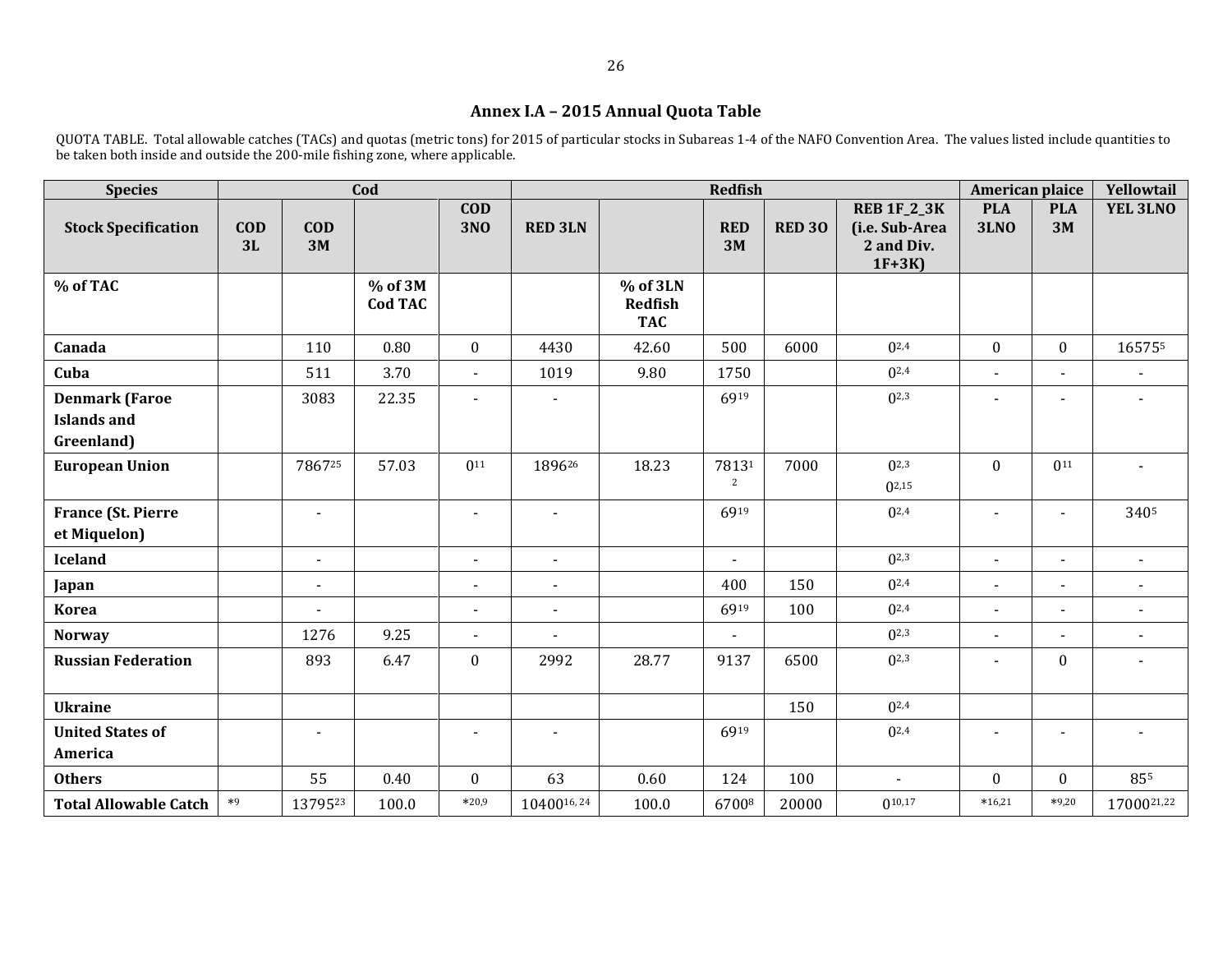# **Annex I.A – 2015 Annual Quota Table**

QUOTA TABLE. Total allowable catches (TACs) and quotas (metric tons) for 2015 of particular stocks in Subareas 1-4 of the NAFO Convention Area. The values listed include quantities to be taken both inside and outside the 200-mile fishing zone, where applicable.

| <b>Species</b>                                            |                  |                  | Cod                       |                          |                |                                   | <b>Redfish</b>           |               |                                                               | American plaice           |                          | Yellowtail     |
|-----------------------------------------------------------|------------------|------------------|---------------------------|--------------------------|----------------|-----------------------------------|--------------------------|---------------|---------------------------------------------------------------|---------------------------|--------------------------|----------------|
| <b>Stock Specification</b>                                | <b>COD</b><br>3L | $\bf{COD}$<br>3M |                           | <b>COD</b><br><b>3NO</b> | <b>RED 3LN</b> |                                   | <b>RED</b><br>3M         | <b>RED 30</b> | <b>REB 1F_2_3K</b><br>(i.e. Sub-Area<br>2 and Div.<br>$1F+3K$ | <b>PLA</b><br><b>3LNO</b> | <b>PLA</b><br>3M         | YEL 3LNO       |
| % of TAC                                                  |                  |                  | % of 3M<br><b>Cod TAC</b> |                          |                | % of 3LN<br>Redfish<br><b>TAC</b> |                          |               |                                                               |                           |                          |                |
| Canada                                                    |                  | 110              | 0.80                      | $\mathbf{0}$             | 4430           | 42.60                             | 500                      | 6000          | $0^{2,4}$                                                     | $\mathbf{0}$              | $\boldsymbol{0}$         | 165755         |
| Cuba                                                      |                  | 511              | 3.70                      | $\blacksquare$           | 1019           | 9.80                              | 1750                     |               | $0^{2,4}$                                                     | $\blacksquare$            |                          |                |
| <b>Denmark (Faroe</b><br><b>Islands and</b><br>Greenland) |                  | 3083             | 22.35                     | L.                       |                |                                   | 6919                     |               | $0^{2,3}$                                                     |                           |                          |                |
| <b>European Union</b>                                     |                  | 786725           | 57.03                     | $0^{11}$                 | 189626         | 18.23                             | 78131<br>2               | 7000          | $0^{2,3}$<br>$0^{2,15}$                                       | $\mathbf{0}$              | $0^{11}$                 |                |
| <b>France (St. Pierre</b><br>et Miquelon)                 |                  | $\mathbf{r}$     |                           | $\blacksquare$           | $\blacksquare$ |                                   | 6919                     |               | $0^{2,4}$                                                     | $\blacksquare$            | $\sim$                   | 3405           |
| <b>Iceland</b>                                            |                  | $\blacksquare$   |                           | $\blacksquare$           | $\blacksquare$ |                                   | $\overline{\phantom{a}}$ |               | $0^{2,3}$                                                     | $\blacksquare$            | $\overline{\phantom{a}}$ | $\blacksquare$ |
| Japan                                                     |                  | $\blacksquare$   |                           | $\blacksquare$           | $\blacksquare$ |                                   | 400                      | 150           | $0^{2,4}$                                                     | $\blacksquare$            | $\blacksquare$           | $\blacksquare$ |
| <b>Korea</b>                                              |                  |                  |                           | $\blacksquare$           | $\blacksquare$ |                                   | 6919                     | 100           | $0^{2,4}$                                                     | $\blacksquare$            | $\overline{\phantom{a}}$ | $\blacksquare$ |
| <b>Norway</b>                                             |                  | 1276             | 9.25                      | $\blacksquare$           | $\blacksquare$ |                                   | $\blacksquare$           |               | $0^{2,3}$                                                     | $\blacksquare$            | $\overline{\phantom{a}}$ | $\blacksquare$ |
| <b>Russian Federation</b>                                 |                  | 893              | 6.47                      | $\mathbf{0}$             | 2992           | 28.77                             | 9137                     | 6500          | $0^{2,3}$                                                     | $\blacksquare$            | $\mathbf{0}$             |                |
| <b>Ukraine</b>                                            |                  |                  |                           |                          |                |                                   |                          | 150           | $0^{2,4}$                                                     |                           |                          |                |
| <b>United States of</b><br>America                        |                  | $\overline{a}$   |                           |                          | $\blacksquare$ |                                   | 6919                     |               | $0^{2,4}$                                                     |                           |                          |                |
| <b>Others</b>                                             |                  | 55               | 0.40                      | $\mathbf{0}$             | 63             | 0.60                              | 124                      | 100           | $\blacksquare$                                                | $\mathbf{0}$              | $\mathbf{0}$             | 855            |
| <b>Total Allowable Catch</b>                              | $*9$             | 1379523          | 100.0                     | $*20,9$                  | 1040016,24     | 100.0                             | 67008                    | 20000         | $0^{10,17}$                                                   | $*16,21$                  | $*9,20$                  | 1700021,22     |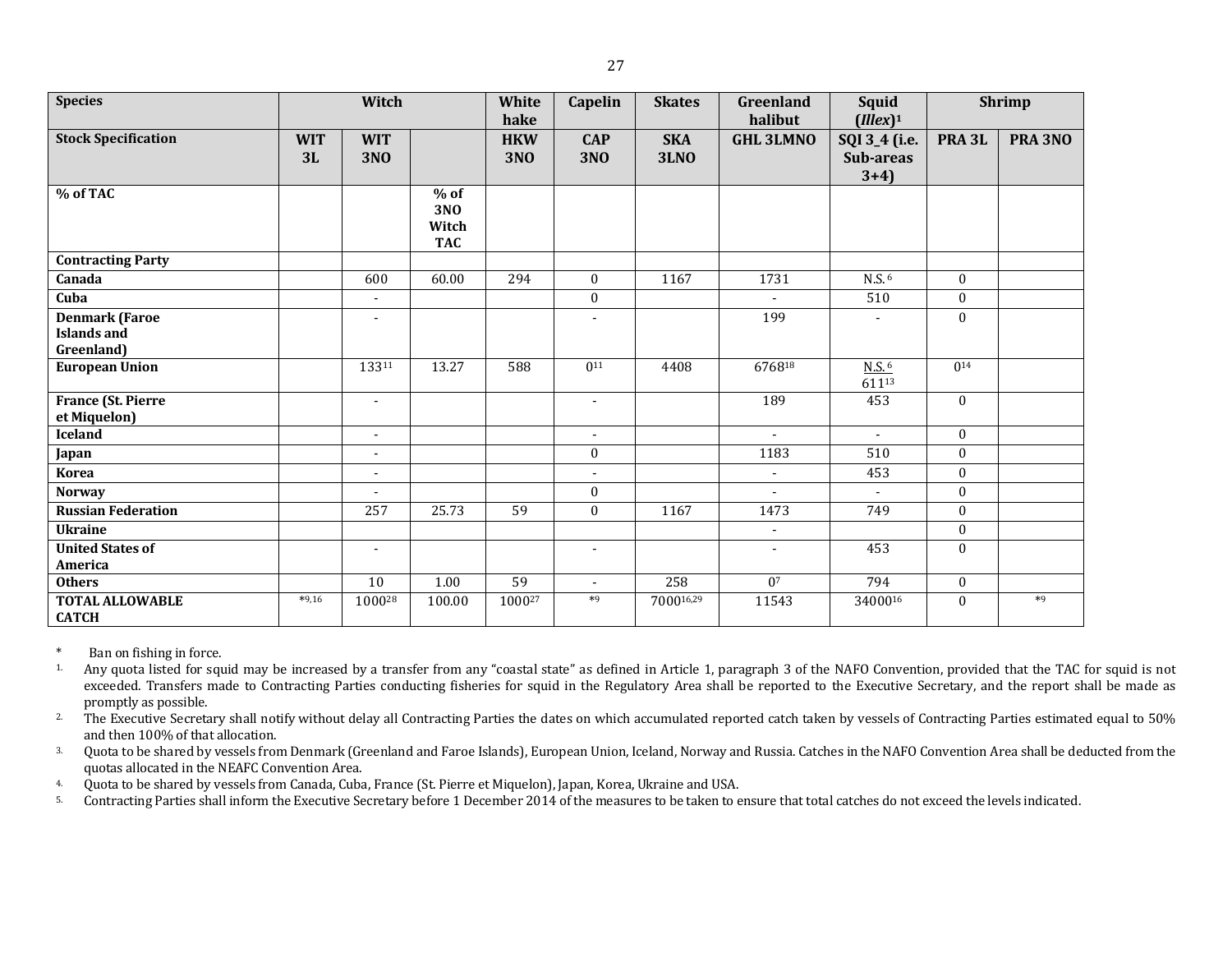| <b>Species</b>                            |                  | Witch                    |                                                  | White<br>hake            | Capelin                  | <b>Skates</b>             | <b>Greenland</b><br>halibut | Squid<br>$(Illex)^1$                 |                   | <b>Shrimp</b> |
|-------------------------------------------|------------------|--------------------------|--------------------------------------------------|--------------------------|--------------------------|---------------------------|-----------------------------|--------------------------------------|-------------------|---------------|
| <b>Stock Specification</b>                | <b>WIT</b><br>3L | <b>WIT</b><br><b>3NO</b> |                                                  | <b>HKW</b><br><b>3NO</b> | <b>CAP</b><br><b>3NO</b> | <b>SKA</b><br><b>3LNO</b> | <b>GHL 3LMNO</b>            | SQI 3_4 (i.e.<br>Sub-areas<br>$3+4)$ | PRA <sub>3L</sub> | PRA 3NO       |
| % of TAC                                  |                  |                          | $%$ of<br>3N <sub>0</sub><br>Witch<br><b>TAC</b> |                          |                          |                           |                             |                                      |                   |               |
| <b>Contracting Party</b>                  |                  |                          |                                                  |                          |                          |                           |                             |                                      |                   |               |
| Canada                                    |                  | 600                      | 60.00                                            | 294                      | $\boldsymbol{0}$         | 1167                      | 1731                        | N.S. <sup>6</sup>                    | $\boldsymbol{0}$  |               |
| Cuba                                      |                  | ۰                        |                                                  |                          | $\boldsymbol{0}$         |                           |                             | 510                                  | $\boldsymbol{0}$  |               |
| <b>Denmark (Faroe</b>                     |                  | $\overline{\phantom{a}}$ |                                                  |                          | $\overline{a}$           |                           | 199                         |                                      | $\mathbf{0}$      |               |
| <b>Islands and</b><br>Greenland)          |                  |                          |                                                  |                          |                          |                           |                             |                                      |                   |               |
| <b>European Union</b>                     |                  | 13311                    | 13.27                                            | 588                      | $0^{11}$                 | 4408                      | 676818                      | $N.S.$ <sup>6</sup><br>61113         | 0 <sup>14</sup>   |               |
| <b>France (St. Pierre</b><br>et Miquelon) |                  | $\sim$                   |                                                  |                          | $\blacksquare$           |                           | 189                         | 453                                  | $\mathbf{0}$      |               |
| <b>Iceland</b>                            |                  | $\blacksquare$           |                                                  |                          | $\sim$                   |                           | $\sim$                      | $\sim$                               | $\mathbf{0}$      |               |
| Japan                                     |                  | $\blacksquare$           |                                                  |                          | $\mathbf{0}$             |                           | 1183                        | 510                                  | $\boldsymbol{0}$  |               |
| <b>Korea</b>                              |                  | $\blacksquare$           |                                                  |                          | $\blacksquare$           |                           | $\sim$                      | 453                                  | $\boldsymbol{0}$  |               |
| <b>Norway</b>                             |                  |                          |                                                  |                          | $\boldsymbol{0}$         |                           | $\blacksquare$              | $\sim$                               | $\bf{0}$          |               |
| <b>Russian Federation</b>                 |                  | 257                      | 25.73                                            | $\overline{59}$          | $\mathbf{0}$             | 1167                      | 1473                        | 749                                  | $\boldsymbol{0}$  |               |
| <b>Ukraine</b>                            |                  |                          |                                                  |                          |                          |                           | $\blacksquare$              |                                      | $\boldsymbol{0}$  |               |
| <b>United States of</b><br>America        |                  | $\blacksquare$           |                                                  |                          | $\overline{\phantom{a}}$ |                           | $\blacksquare$              | 453                                  | $\mathbf{0}$      |               |
| <b>Others</b>                             |                  | $\overline{10}$          | 1.00                                             | 59                       | $\blacksquare$           | 258                       | $\overline{0^7}$            | 794                                  | $\boldsymbol{0}$  |               |
| <b>TOTAL ALLOWABLE</b><br><b>CATCH</b>    | $*9,16$          | 100028                   | 100.00                                           | 100027                   | $*9$                     | 700016,29                 | 11543                       | 3400016                              | $\mathbf{0}$      | $*9$          |

\* Ban on fishing in force.<br><sup>1.</sup> Any quota listed for squ

Any quota listed for squid may be increased by a transfer from any "coastal state" as defined in Article 1, paragraph 3 of the NAFO Convention, provided that the TAC for squid is not exceeded. Transfers made to Contracting Parties conducting fisheries for squid in the Regulatory Area shall be reported to the Executive Secretary, and the report shall be made as promptly as possible.

<sup>2</sup>. The Executive Secretary shall notify without delay all Contracting Parties the dates on which accumulated reported catch taken by vessels of Contracting Parties estimated equal to 50% and then 100% of that allocation.

<sup>3.</sup> Quota to be shared by vessels from Denmark (Greenland and Faroe Islands), European Union, Iceland, Norway and Russia. Catches in the NAFO Convention Area shall be deducted from the quotas allocated in the NEAFC Convention Area.

4. Quota to be shared by vessels from Canada, Cuba, France (St. Pierre et Miquelon), Japan, Korea, Ukraine and USA.

5. Contracting Parties shall inform the Executive Secretary before 1 December 2014 of the measures to be taken to ensure that total catches do not exceed the levels indicated.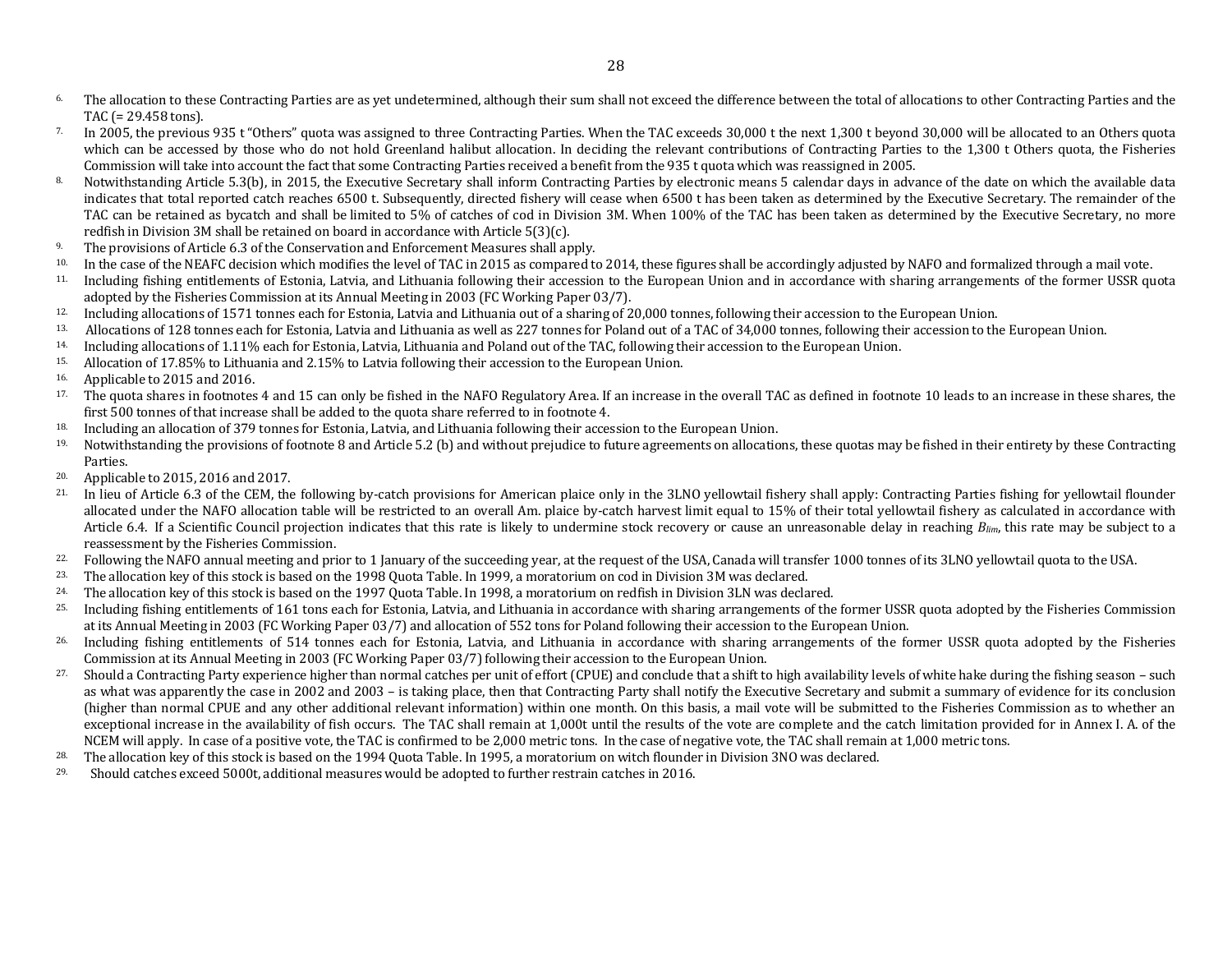- <sup>6</sup> The allocation to these Contracting Parties are as yet undetermined, although their sum shall not exceed the difference between the total of allocations to other Contracting Parties and the TAC (= 29.458 tons).
- <sup>7.</sup> In 2005, the previous 935 t "Others" quota was assigned to three Contracting Parties. When the TAC exceeds 30,000 t the next 1,300 t beyond 30,000 will be allocated to an Others quota which can be accessed by those who do not hold Greenland halibut allocation. In deciding the relevant contributions of Contracting Parties to the 1,300 t Others quota, the Fisheries Commission will take into account the fact that some Contracting Parties received a benefit from the 935 t quota which was reassigned in 2005.
- <sup>8</sup>. Notwithstanding Article 5.3(b), in 2015, the Executive Secretary shall inform Contracting Parties by electronic means 5 calendar days in advance of the date on which the available data indicates that total reported catch reaches 6500 t. Subsequently, directed fishery will cease when 6500 t has been taken as determined by the Executive Secretary. The remainder of the TAC can be retained as bycatch and shall be limited to 5% of catches of cod in Division 3M. When 100% of the TAC has been taken as determined by the Executive Secretary, no more redfish in Division 3M shall be retained on board in accordance with Article 5(3)(c).
- 9. The provisions of Article 6.3 of the Conservation and Enforcement Measures shall apply.
- 10. In the case of the NEAFC decision which modifies the level of TAC in 2015 as compared to 2014, these figures shall be accordingly adjusted by NAFO and formalized through a mail vote.
- 11. Including fishing entitlements of Estonia, Latvia, and Lithuania following their accession to the European Union and in accordance with sharing arrangements of the former USSR quota adopted by the Fisheries Commission at its Annual Meeting in 2003 (FC Working Paper 03/7).
- 12. Including allocations of 1571 tonnes each for Estonia, Latvia and Lithuania out of a sharing of 20,000 tonnes, following their accession to the European Union.<br>13. Allocations of 128 tonnes each for Estonia, Latvia and
- 13. Allocations of 128 tonnes each for Estonia, Latvia and Lithuania as well as 227 tonnes for Poland out of a TAC of 34,000 tonnes, following their accession to the European Union.
- 14. Including allocations of 1.11% each for Estonia, Latvia, Lithuania and Poland out of the TAC, following their accession to the European Union.
- 15. Allocation of 17.85% to Lithuania and 2.15% to Latvia following their accession to the European Union.<br>16. Applicable to 2015 and 2016
- Applicable to 2015 and 2016.
- <sup>17.</sup> The quota shares in footnotes 4 and 15 can only be fished in the NAFO Regulatory Area. If an increase in the overall TAC as defined in footnote 10 leads to an increase in these shares, the first 500 tonnes of that increase shall be added to the quota share referred to in footnote 4.
- 18. Including an allocation of 379 tonnes for Estonia, Latvia, and Lithuania following their accession to the European Union.
- 19. Notwithstanding the provisions of footnote 8 and Article 5.2 (b) and without prejudice to future agreements on allocations, these quotas may be fished in their entirety by these Contracting Parties.
- 20. Applicable to 2015, 2016 and 2017.
- <sup>21.</sup> In lieu of Article 6.3 of the CEM, the following by-catch provisions for American plaice only in the 3LNO yellowtail fishery shall apply: Contracting Parties fishing for yellowtail flounder allocated under the NAFO allocation table will be restricted to an overall Am. plaice by-catch harvest limit equal to 15% of their total yellowtail fishery as calculated in accordance with Article 6.4. If a Scientific Council projection indicates that this rate is likely to undermine stock recovery or cause an unreasonable delay in reaching *Blim*, this rate may be subject to a reassessment by the Fisheries Commission.
- <sup>22.</sup> Following the NAFO annual meeting and prior to 1 January of the succeeding year, at the request of the USA, Canada will transfer 1000 tonnes of its 3LNO yellowtail quota to the USA.
- 23. The allocation key of this stock is based on the 1998 Quota Table. In 1999, a moratorium on cod in Division 3M was declared.<br>24. The allocation key of this stock is based on the 1997 Quota Table. In 1998, a moratorium
- 24. The allocation key of this stock is based on the 1997 Quota Table. In 1998, a moratorium on redfish in Division 3LN was declared.
- 25. Including fishing entitlements of 161 tons each for Estonia, Latvia, and Lithuania in accordance with sharing arrangements of the former USSR quota adopted by the Fisheries Commission at its Annual Meeting in 2003 (FC Working Paper 03/7) and allocation of 552 tons for Poland following their accession to the European Union.
- <sup>26.</sup> Including fishing entitlements of 514 tonnes each for Estonia, Latvia, and Lithuania in accordance with sharing arrangements of the former USSR quota adopted by the Fisheries Commission at its Annual Meeting in 2003 (FC Working Paper 03/7) following their accession to the European Union.
- 27. Should a Contracting Party experience higher than normal catches per unit of effort (CPUE) and conclude that a shift to high availability levels of white hake during the fishing season such as what was apparently the case in 2002 and 2003 – is taking place, then that Contracting Party shall notify the Executive Secretary and submit a summary of evidence for its conclusion (higher than normal CPUE and any other additional relevant information) within one month. On this basis, a mail vote will be submitted to the Fisheries Commission as to whether an exceptional increase in the availability of fish occurs. The TAC shall remain at 1,000t until the results of the vote are complete and the catch limitation provided for in Annex I. A. of the NCEM will apply. In case of a positive vote, the TAC is confirmed to be 2,000 metric tons. In the case of negative vote, the TAC shall remain at 1,000 metric tons.
- <sup>28.</sup> The allocation key of this stock is based on the 1994 Quota Table. In 1995, a moratorium on witch flounder in Division 3NO was declared.
- 29. Should catches exceed 5000t, additional measures would be adopted to further restrain catches in 2016.